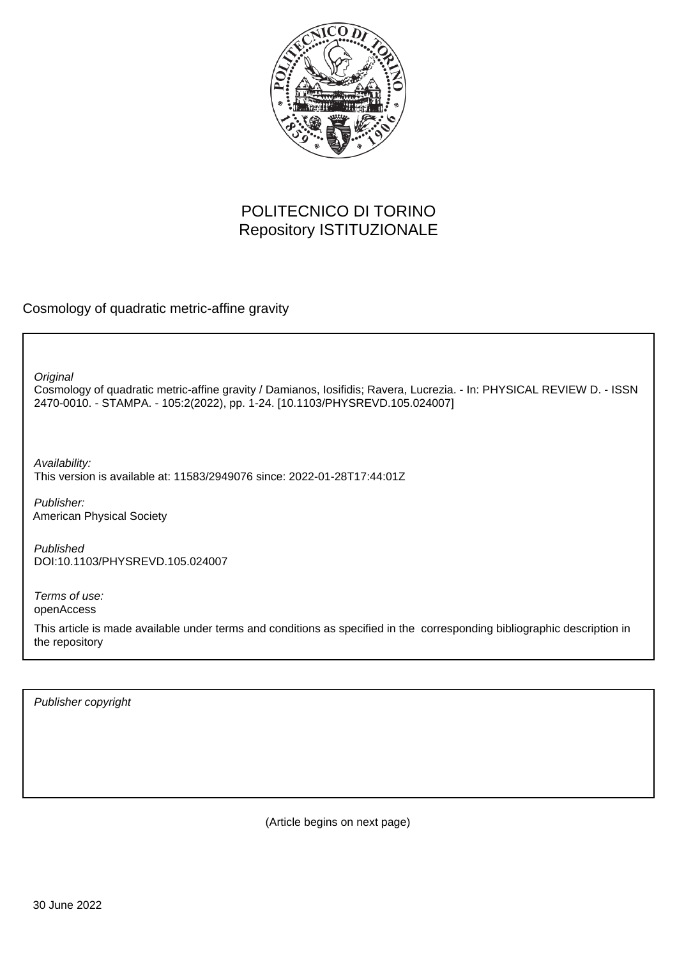

# POLITECNICO DI TORINO Repository ISTITUZIONALE

Cosmology of quadratic metric-affine gravity

**Original** 

Cosmology of quadratic metric-affine gravity / Damianos, Iosifidis; Ravera, Lucrezia. - In: PHYSICAL REVIEW D. - ISSN 2470-0010. - STAMPA. - 105:2(2022), pp. 1-24. [10.1103/PHYSREVD.105.024007]

Availability: This version is available at: 11583/2949076 since: 2022-01-28T17:44:01Z

Publisher: American Physical Society

Published DOI:10.1103/PHYSREVD.105.024007

Terms of use: openAccess

This article is made available under terms and conditions as specified in the corresponding bibliographic description in the repository

Publisher copyright

(Article begins on next page)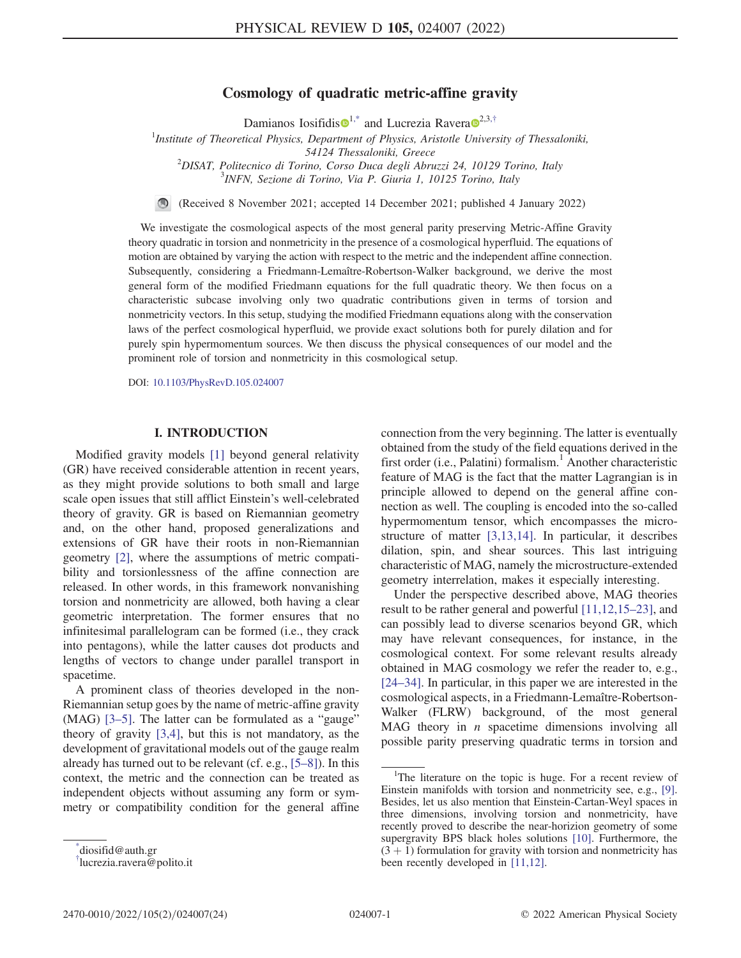# Cosmology of quadratic metric-affine gravity

Damianos Iosifidis $\mathbf{D}^{1,*}$  $\mathbf{D}^{1,*}$  $\mathbf{D}^{1,*}$  and Lucrezia Ravera $\mathbf{D}^{2,3,\dagger}$  $\mathbf{D}^{2,3,\dagger}$  $\mathbf{D}^{2,3,\dagger}$ 

<sup>1</sup>Institute of Theoretical Physics, Department of Physics, Aristotle University of Thessaloniki, 54124 Thessaloniki, Greece<br><sup>2</sup>DISAT, Boliteoriae di Torine, Corso Duga degli Abri DISAT, Politecnico di Torino, Corso Duca degli Abruzzi 24, 10129 Torino, Italy<br><sup>3</sup>DIEN, Satisma di Torino, Via P. Ciuria 1, 10125 Torino, Italy

 $<sup>3</sup>$ INFN, Sezione di Torino, Via P. Giuria 1, 10125 Torino, Italy</sup>

(Received 8 November 2021; accepted 14 December 2021; published 4 January 2022)

We investigate the cosmological aspects of the most general parity preserving Metric-Affine Gravity theory quadratic in torsion and nonmetricity in the presence of a cosmological hyperfluid. The equations of motion are obtained by varying the action with respect to the metric and the independent affine connection. Subsequently, considering a Friedmann-Lemaître-Robertson-Walker background, we derive the most general form of the modified Friedmann equations for the full quadratic theory. We then focus on a characteristic subcase involving only two quadratic contributions given in terms of torsion and nonmetricity vectors. In this setup, studying the modified Friedmann equations along with the conservation laws of the perfect cosmological hyperfluid, we provide exact solutions both for purely dilation and for purely spin hypermomentum sources. We then discuss the physical consequences of our model and the prominent role of torsion and nonmetricity in this cosmological setup.

DOI: [10.1103/PhysRevD.105.024007](https://doi.org/10.1103/PhysRevD.105.024007)

# I. INTRODUCTION

Modified gravity models [1] beyond general relativity (GR) have received considerable attention in recent years, as they might provide solutions to both small and large scale open issues that still afflict Einstein's well-celebrated theory of gravity. GR is based on Riemannian geometry and, on the other hand, proposed generalizations and extensions of GR have their roots in non-Riemannian geometry [2], where the assumptions of metric compatibility and torsionlessness of the affine connection are released. In other words, in this framework nonvanishing torsion and nonmetricity are allowed, both having a clear geometric interpretation. The former ensures that no infinitesimal parallelogram can be formed (i.e., they crack into pentagons), while the latter causes dot products and lengths of vectors to change under parallel transport in spacetime.

A prominent class of theories developed in the non-Riemannian setup goes by the name of metric-affine gravity (MAG) [3–5]. The latter can be formulated as a "gauge" theory of gravity [3,4], but this is not mandatory, as the development of gravitational models out of the gauge realm already has turned out to be relevant (cf. e.g., [5–8]). In this context, the metric and the connection can be treated as independent objects without assuming any form or symmetry or compatibility condition for the general affine connection from the very beginning. The latter is eventually obtained from the study of the field equations derived in the first order (i.e., Palatini) formalism.<sup>1</sup> Another characteristic feature of MAG is the fact that the matter Lagrangian is in principle allowed to depend on the general affine connection as well. The coupling is encoded into the so-called hypermomentum tensor, which encompasses the microstructure of matter [3,13,14]. In particular, it describes dilation, spin, and shear sources. This last intriguing characteristic of MAG, namely the microstructure-extended geometry interrelation, makes it especially interesting.

Under the perspective described above, MAG theories result to be rather general and powerful [11,12,15–23], and can possibly lead to diverse scenarios beyond GR, which may have relevant consequences, for instance, in the cosmological context. For some relevant results already obtained in MAG cosmology we refer the reader to, e.g., [24–34]. In particular, in this paper we are interested in the cosmological aspects, in a Friedmann-Lemaître-Robertson-Walker (FLRW) background, of the most general MAG theory in  $n$  spacetime dimensions involving all possible parity preserving quadratic terms in torsion and

<sup>\*</sup> diosifid@auth.gr

<sup>†</sup> lucrezia.ravera@polito.it

<sup>&</sup>lt;sup>1</sup>The literature on the topic is huge. For a recent review of Einstein manifolds with torsion and nonmetricity see, e.g., [9]. Besides, let us also mention that Einstein-Cartan-Weyl spaces in three dimensions, involving torsion and nonmetricity, have recently proved to describe the near-horizion geometry of some supergravity BPS black holes solutions [10]. Furthermore, the  $(3 + 1)$  formulation for gravity with torsion and nonmetricity has been recently developed in [11,12].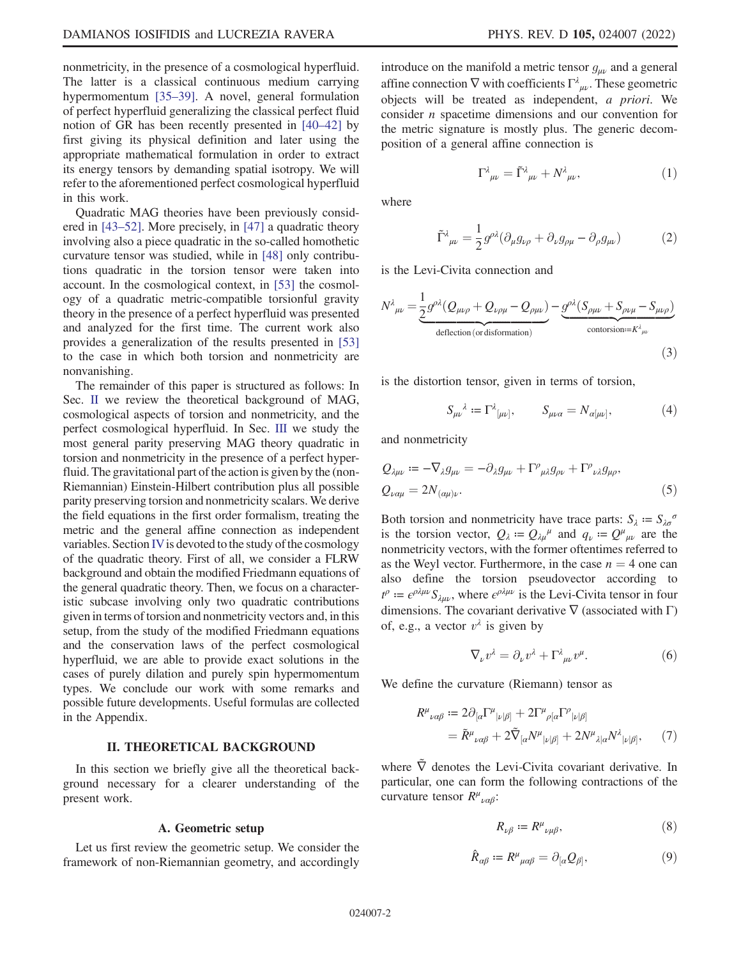nonmetricity, in the presence of a cosmological hyperfluid. The latter is a classical continuous medium carrying hypermomentum [35–39]. A novel, general formulation of perfect hyperfluid generalizing the classical perfect fluid notion of GR has been recently presented in [40–42] by first giving its physical definition and later using the appropriate mathematical formulation in order to extract its energy tensors by demanding spatial isotropy. We will refer to the aforementioned perfect cosmological hyperfluid in this work.

Quadratic MAG theories have been previously considered in [43–52]. More precisely, in [47] a quadratic theory involving also a piece quadratic in the so-called homothetic curvature tensor was studied, while in [48] only contributions quadratic in the torsion tensor were taken into account. In the cosmological context, in [53] the cosmology of a quadratic metric-compatible torsionful gravity theory in the presence of a perfect hyperfluid was presented and analyzed for the first time. The current work also provides a generalization of the results presented in [53] to the case in which both torsion and nonmetricity are nonvanishing.

The remainder of this paper is structured as follows: In Sec. II we review the theoretical background of MAG, cosmological aspects of torsion and nonmetricity, and the perfect cosmological hyperfluid. In Sec. III we study the most general parity preserving MAG theory quadratic in torsion and nonmetricity in the presence of a perfect hyperfluid. The gravitational part of the action is given by the (non-Riemannian) Einstein-Hilbert contribution plus all possible parity preserving torsion and nonmetricity scalars. We derive the field equations in the first order formalism, treating the metric and the general affine connection as independent variables. Section IV is devoted to the study of the cosmology of the quadratic theory. First of all, we consider a FLRW background and obtain the modified Friedmann equations of the general quadratic theory. Then, we focus on a characteristic subcase involving only two quadratic contributions given in terms of torsion and nonmetricity vectors and, in this setup, from the study of the modified Friedmann equations and the conservation laws of the perfect cosmological hyperfluid, we are able to provide exact solutions in the cases of purely dilation and purely spin hypermomentum types. We conclude our work with some remarks and possible future developments. Useful formulas are collected in the Appendix.

## II. THEORETICAL BACKGROUND

In this section we briefly give all the theoretical background necessary for a clearer understanding of the present work.

#### A. Geometric setup

Let us first review the geometric setup. We consider the framework of non-Riemannian geometry, and accordingly introduce on the manifold a metric tensor  $g_{\mu\nu}$  and a general affine connection  $\nabla$  with coefficients  $\Gamma^{\lambda}{}_{\mu\nu}$ . These geometric objects will be treated as independent, a priori. We consider n spacetime dimensions and our convention for the metric signature is mostly plus. The generic decomposition of a general affine connection is

$$
\Gamma^{\lambda}{}_{\mu\nu} = \tilde{\Gamma}^{\lambda}{}_{\mu\nu} + N^{\lambda}{}_{\mu\nu},\tag{1}
$$

where

$$
\tilde{\Gamma}^{\lambda}{}_{\mu\nu} = \frac{1}{2} g^{\rho\lambda} (\partial_{\mu} g_{\nu\rho} + \partial_{\nu} g_{\rho\mu} - \partial_{\rho} g_{\mu\nu}) \tag{2}
$$

is the Levi-Civita connection and

$$
N^{\lambda}{}_{\mu\nu} = \underbrace{\frac{1}{2}g^{\rho\lambda}(Q_{\mu\nu\rho} + Q_{\nu\rho\mu} - Q_{\rho\mu\nu})}_{\text{deflection (or disformation)}} - \underbrace{g^{\rho\lambda}(S_{\rho\mu\nu} + S_{\rho\nu\mu} - S_{\mu\nu\rho})}_{\text{contorsion} := K^{\lambda}{}_{\mu\nu}}
$$
\n(3)

is the distortion tensor, given in terms of torsion,

$$
S_{\mu\nu}{}^{\lambda} := \Gamma^{\lambda}{}_{[\mu\nu]}, \qquad S_{\mu\nu\alpha} = N_{\alpha[\mu\nu]}, \tag{4}
$$

and nonmetricity

$$
Q_{\lambda\mu\nu} := -\nabla_{\lambda}g_{\mu\nu} = -\partial_{\lambda}g_{\mu\nu} + \Gamma^{\rho}{}_{\mu\lambda}g_{\rho\nu} + \Gamma^{\rho}{}_{\nu\lambda}g_{\mu\rho},
$$
  
\n
$$
Q_{\nu\alpha\mu} = 2N_{(\alpha\mu)\nu}.
$$
\n(5)

Both torsion and nonmetricity have trace parts:  $S_{\lambda} = S_{\lambda \sigma}^{\sigma}$ is the torsion vector,  $Q_{\lambda} = Q_{\lambda\mu}^{\mu}$  and  $q_{\nu} = Q^{\mu}{}_{\mu\nu}$  are the nonmetricity vectors, with the former oftentimes referred to as the Weyl vector. Furthermore, in the case  $n = 4$  one can also define the torsion pseudovector according to  $t^{\rho} := \epsilon^{\rho \lambda \mu \nu} S_{\lambda \mu \nu}$ , where  $\epsilon^{\rho \lambda \mu \nu}$  is the Levi-Civita tensor in four dimensions. The covariant derivative  $\nabla$  (associated with  $\Gamma$ ) of, e.g., a vector  $v^{\lambda}$  is given by

$$
\nabla_{\nu} v^{\lambda} = \partial_{\nu} v^{\lambda} + \Gamma^{\lambda}{}_{\mu\nu} v^{\mu}.
$$
 (6)

We define the curvature (Riemann) tensor as

$$
R^{\mu}{}_{\nu\alpha\beta} := 2\partial_{[\alpha}\Gamma^{\mu}{}_{|\nu|\beta]} + 2\Gamma^{\mu}{}_{\rho[\alpha}\Gamma^{\rho}{}_{|\nu|\beta]} = \tilde{R}^{\mu}{}_{\nu\alpha\beta} + 2\tilde{\nabla}_{[\alpha}N^{\mu}{}_{|\nu|\beta]} + 2N^{\mu}{}_{\lambda|\alpha}N^{\lambda}{}_{|\nu|\beta]},
$$
 (7)

where  $\overline{V}$  denotes the Levi-Civita covariant derivative. In particular, one can form the following contractions of the curvature tensor  $R^{\mu}{}_{\nu\alpha\beta}$ :

$$
R_{\nu\beta}:=R^{\mu}{}_{\nu\mu\beta},\qquad \qquad (8)
$$

$$
\hat{R}_{\alpha\beta} := R^{\mu}{}_{\mu\alpha\beta} = \partial_{[\alpha}Q_{\beta]},\tag{9}
$$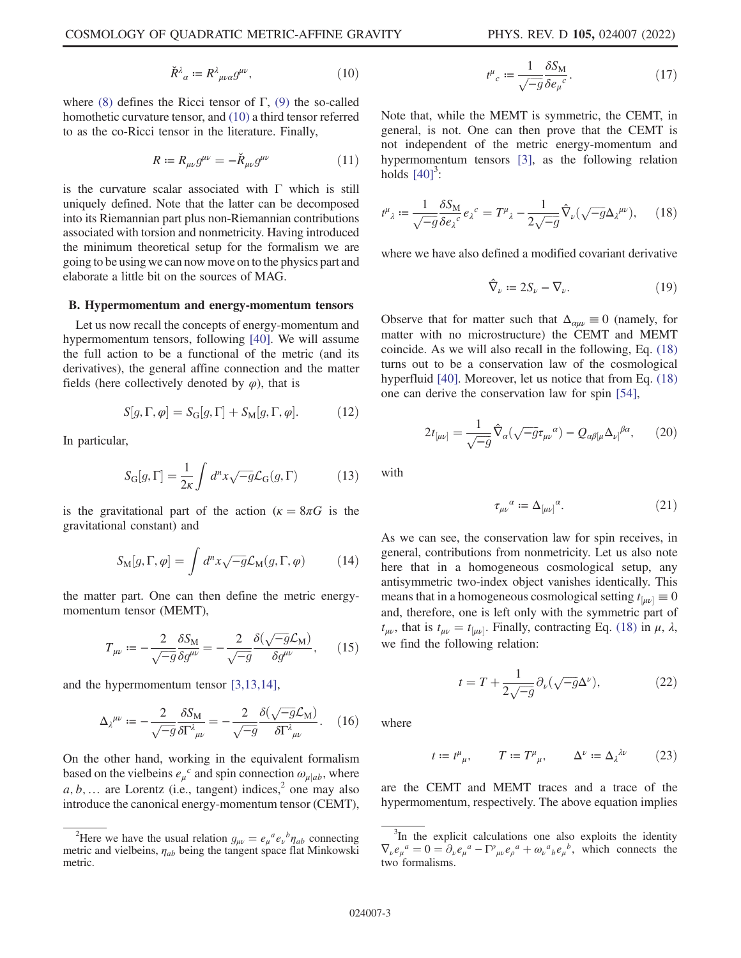$$
\check{R}^{\lambda}{}_{\alpha} := R^{\lambda}{}_{\mu\nu\alpha} g^{\mu\nu},\tag{10}
$$

where (8) defines the Ricci tensor of Γ, (9) the so-called homothetic curvature tensor, and (10) a third tensor referred to as the co-Ricci tensor in the literature. Finally,

$$
R := R_{\mu\nu} g^{\mu\nu} = -\check{R}_{\mu\nu} g^{\mu\nu} \tag{11}
$$

is the curvature scalar associated with  $\Gamma$  which is still uniquely defined. Note that the latter can be decomposed into its Riemannian part plus non-Riemannian contributions associated with torsion and nonmetricity. Having introduced the minimum theoretical setup for the formalism we are going to be using we can now move on to the physics part and elaborate a little bit on the sources of MAG.

#### B. Hypermomentum and energy-momentum tensors

Let us now recall the concepts of energy-momentum and hypermomentum tensors, following [40]. We will assume the full action to be a functional of the metric (and its derivatives), the general affine connection and the matter fields (here collectively denoted by  $\varphi$ ), that is

$$
S[g,\Gamma,\varphi] = S_{\rm G}[g,\Gamma] + S_{\rm M}[g,\Gamma,\varphi]. \tag{12}
$$

In particular,

$$
S_{\mathcal{G}}[g,\Gamma] = \frac{1}{2\kappa} \int d^n x \sqrt{-g} \mathcal{L}_{\mathcal{G}}(g,\Gamma) \tag{13}
$$

is the gravitational part of the action ( $\kappa = 8\pi G$  is the gravitational constant) and

$$
S_{\mathcal{M}}[g,\Gamma,\varphi] = \int d^n x \sqrt{-g} \mathcal{L}_{\mathcal{M}}(g,\Gamma,\varphi) \tag{14}
$$

the matter part. One can then define the metric energymomentum tensor (MEMT),

$$
T_{\mu\nu} := -\frac{2}{\sqrt{-g}} \frac{\delta S_M}{\delta g^{\mu\nu}} = -\frac{2}{\sqrt{-g}} \frac{\delta(\sqrt{-g}\mathcal{L}_M)}{\delta g^{\mu\nu}},\qquad(15)
$$

and the hypermomentum tensor [3,13,14],

$$
\Delta_{\lambda}{}^{\mu\nu} := -\frac{2}{\sqrt{-g}} \frac{\delta S_{\rm M}}{\delta \Gamma^{\lambda}{}_{\mu\nu}} = -\frac{2}{\sqrt{-g}} \frac{\delta(\sqrt{-g} \mathcal{L}_{\rm M})}{\delta \Gamma^{\lambda}{}_{\mu\nu}}.
$$
 (16)

On the other hand, working in the equivalent formalism based on the vielbeins  $e_{\mu}^{c}$  and spin connection  $\omega_{\mu}|_{ab}$ , where  $a, b, \ldots$  are Lorentz (i.e., tangent) indices,<sup>2</sup> one may also introduce the canonical energy-momentum tensor (CEMT),

$$
t^{\mu}{}_{c} := \frac{1}{\sqrt{-g}} \frac{\delta S_{\rm M}}{\delta e_{\mu}{}^{c}}.
$$
 (17)

Note that, while the MEMT is symmetric, the CEMT, in general, is not. One can then prove that the CEMT is not independent of the metric energy-momentum and hypermomentum tensors [3], as the following relation holds  $[40]$ <sup>3</sup>:

$$
t^{\mu}_{\lambda} := \frac{1}{\sqrt{-g}} \frac{\delta S_{\mathbf{M}}}{\delta e_{\lambda}^{c}} e_{\lambda}^{c} = T^{\mu}_{\lambda} - \frac{1}{2\sqrt{-g}} \hat{\nabla}_{\nu} (\sqrt{-g} \Delta_{\lambda}^{\mu \nu}), \qquad (18)
$$

where we have also defined a modified covariant derivative

$$
\hat{\nabla}_{\nu} := 2S_{\nu} - \nabla_{\nu}.
$$
\n(19)

Observe that for matter such that  $\Delta_{\alpha\mu\nu} \equiv 0$  (namely, for matter with no microstructure) the CEMT and MEMT coincide. As we will also recall in the following, Eq. (18) turns out to be a conservation law of the cosmological hyperfluid [40]. Moreover, let us notice that from Eq. (18) one can derive the conservation law for spin [54],

$$
2t_{[\mu\nu]} = \frac{1}{\sqrt{-g}} \hat{\nabla}_a (\sqrt{-g} \tau_{\mu\nu}{}^\alpha) - Q_{\alpha\beta[\mu} \Delta_{\nu]}{}^{\beta\alpha}, \qquad (20)
$$

with

$$
\tau_{\mu\nu}{}^\alpha:=\Delta_{[\mu\nu]}{}^\alpha. \eqno(21)
$$

As we can see, the conservation law for spin receives, in general, contributions from nonmetricity. Let us also note here that in a homogeneous cosmological setup, any antisymmetric two-index object vanishes identically. This means that in a homogeneous cosmological setting  $t_{[\mu\nu]} \equiv 0$ and, therefore, one is left only with the symmetric part of  $t_{\mu\nu}$ , that is  $t_{\mu\nu} = t_{\mu\nu}$ . Finally, contracting Eq. (18) in  $\mu$ ,  $\lambda$ , we find the following relation: we find the following relation:

$$
t = T + \frac{1}{2\sqrt{-g}} \partial_{\nu} (\sqrt{-g} \Delta^{\nu}), \qquad (22)
$$

where

$$
t := t^{\mu}_{\ \mu}, \qquad T := T^{\mu}_{\ \mu}, \qquad \Delta^{\nu} := \Delta_{\lambda}^{\ \lambda \nu} \tag{23}
$$

are the CEMT and MEMT traces and a trace of the hypermomentum, respectively. The above equation implies

<sup>&</sup>lt;sup>2</sup>Here we have the usual relation  $g_{\mu\nu} = e_{\mu}{}^{a} e_{\nu}{}^{b} \eta_{ab}$  connecting tric and vielbeins,  $n_{ab}$  being the tangent space flat Minkowski metric and vielbeins,  $\eta_{ab}$  being the tangent space flat Minkowski metric.

<sup>&</sup>lt;sup>3</sup>In the explicit calculations one also exploits the identity  $\nabla_{\nu} e_{\mu}{}^{a} = 0 = \partial_{\nu} e_{\mu}{}^{a} - \Gamma^{\rho}{}_{\mu\nu} e_{\rho}{}^{a} + \omega_{\nu}{}^{a}{}_{b} e_{\mu}{}^{b}$ , which connects the two formalisms.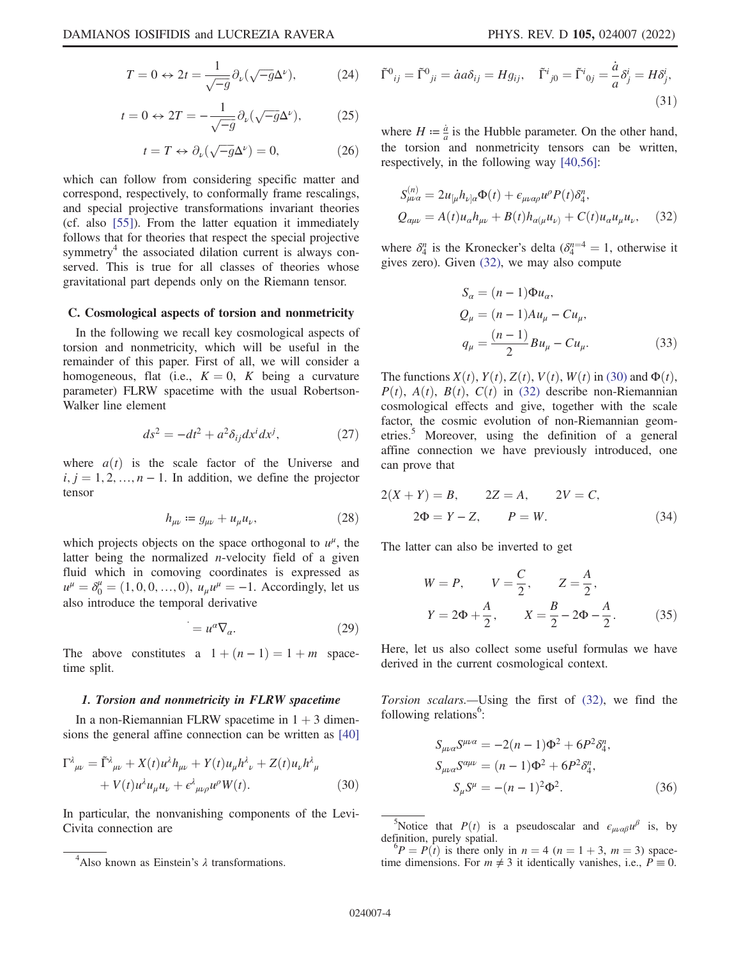$$
T = 0 \leftrightarrow 2t = \frac{1}{\sqrt{-g}} \partial_{\nu} (\sqrt{-g} \Delta^{\nu}), \tag{24}
$$

$$
t = 0 \leftrightarrow 2T = -\frac{1}{\sqrt{-g}} \partial_{\nu} (\sqrt{-g} \Delta^{\nu}), \tag{25}
$$

$$
t = T \leftrightarrow \partial_{\nu}(\sqrt{-g}\Delta^{\nu}) = 0, \tag{26}
$$

which can follow from considering specific matter and correspond, respectively, to conformally frame rescalings, and special projective transformations invariant theories (cf. also [55]). From the latter equation it immediately follows that for theories that respect the special projective symmetry<sup>4</sup> the associated dilation current is always conserved. This is true for all classes of theories whose gravitational part depends only on the Riemann tensor.

## C. Cosmological aspects of torsion and nonmetricity

In the following we recall key cosmological aspects of torsion and nonmetricity, which will be useful in the remainder of this paper. First of all, we will consider a homogeneous, flat (i.e.,  $K = 0$ , K being a curvature parameter) FLRW spacetime with the usual Robertson-Walker line element

$$
ds^2 = -dt^2 + a^2 \delta_{ij} dx^i dx^j, \qquad (27)
$$

where  $a(t)$  is the scale factor of the Universe and  $i, j = 1, 2, ..., n - 1$ . In addition, we define the projector tensor

$$
h_{\mu\nu} \coloneqq g_{\mu\nu} + u_{\mu}u_{\nu},\tag{28}
$$

which projects objects on the space orthogonal to  $u^{\mu}$ , the latter being the normalized  $n$ -velocity field of a given fluid which in comoving coordinates is expressed as  $u^{\mu} = \delta_0^{\mu} = (1, 0, 0, ..., 0), u_{\mu}u^{\mu} = -1.$  Accordingly, let us also introduce the temporal derivative

$$
=u^{\alpha}\nabla_{\alpha}.
$$
 (29)

The above constitutes a  $1 + (n - 1) = 1 + m$  spacetime split.

### 1. Torsion and nonmetricity in FLRW spacetime

In a non-Riemannian FLRW spacetime in  $1 + 3$  dimensions the general affine connection can be written as [40]

$$
\Gamma^{\lambda}{}_{\mu\nu} = \tilde{\Gamma}^{\lambda}{}_{\mu\nu} + X(t)u^{\lambda}h_{\mu\nu} + Y(t)u_{\mu}h^{\lambda}{}_{\nu} + Z(t)u_{\nu}h^{\lambda}{}_{\mu} \n+ V(t)u^{\lambda}u_{\mu}u_{\nu} + \epsilon^{\lambda}{}_{\mu\nu\rho}u^{\rho}W(t).
$$
\n(30)

In particular, the nonvanishing components of the Levi-Civita connection are

$$
\tilde{\Gamma}^0{}_{ij} = \tilde{\Gamma}^0{}_{ji} = \dot{a}a\delta_{ij} = Hg_{ij}, \quad \tilde{\Gamma}^i{}_{j0} = \tilde{\Gamma}^i{}_{0j} = \frac{\dot{a}}{a}\delta^i_j = H\delta^i_j,
$$
\n(31)

where  $H := \frac{\dot{a}}{a}$  is the Hubble parameter. On the other hand, the torsion and nonmetricity tensors can be written, respectively, in the following way [40,56]:

 $\overline{S}$ 

$$
S_{\mu\nu\alpha}^{(n)} = 2u_{\lbrack\mu}h_{\nu\rbrack\alpha}\Phi(t) + \epsilon_{\mu\nu\alpha\rho}u^{\rho}P(t)\delta_{4}^{n},
$$
  

$$
Q_{\alpha\mu\nu} = A(t)u_{\alpha}h_{\mu\nu} + B(t)h_{\alpha(\mu}u_{\nu)} + C(t)u_{\alpha}u_{\mu}u_{\nu}, \quad (32)
$$

where  $\delta_4^n$  is the Kronecker's delta  $(\delta_4^{n=4} = 1$ , otherwise it gives zero). Given (32) we may also compute gives zero). Given (32), we may also compute

$$
S_{\alpha} = (n-1)\Phi u_{\alpha},
$$
  
\n
$$
Q_{\mu} = (n-1)Au_{\mu} - Cu_{\mu},
$$
  
\n
$$
q_{\mu} = \frac{(n-1)}{2}Bu_{\mu} - Cu_{\mu}.
$$
\n(33)

The functions  $X(t)$ ,  $Y(t)$ ,  $Z(t)$ ,  $V(t)$ ,  $W(t)$  in (30) and  $\Phi(t)$ ,  $P(t)$ ,  $A(t)$ ,  $B(t)$ ,  $C(t)$  in (32) describe non-Riemannian cosmological effects and give, together with the scale factor, the cosmic evolution of non-Riemannian geometries.<sup>5</sup> Moreover, using the definition of a general affine connection we have previously introduced, one can prove that

$$
2(X + Y) = B, \t 2Z = A, \t 2V = C,2\Phi = Y - Z, \t P = W.
$$
 (34)

The latter can also be inverted to get

$$
W = P, \qquad V = \frac{C}{2}, \qquad Z = \frac{A}{2},
$$
  

$$
Y = 2\Phi + \frac{A}{2}, \qquad X = \frac{B}{2} - 2\Phi - \frac{A}{2}.
$$
 (35)

Here, let us also collect some useful formulas we have derived in the current cosmological context.

Torsion scalars.—Using the first of (32), we find the following relations<sup>6</sup>:

$$
S_{\mu\nu\alpha}S^{\mu\nu\alpha} = -2(n-1)\Phi^2 + 6P^2 \delta_4^n,
$$
  
\n
$$
S_{\mu\nu\alpha}S^{\alpha\mu\nu} = (n-1)\Phi^2 + 6P^2 \delta_4^n,
$$
  
\n
$$
S_{\mu}S^{\mu} = -(n-1)^2 \Phi^2.
$$
 (36)

<sup>5</sup>Notice that  $P(t)$  is a pseudoscalar and  $\epsilon_{\mu\nu\alpha\beta}u^{\beta}$  is, by finition, purely spatial. definition, purely spatial.

<sup>&</sup>lt;sup>4</sup>Also known as Einstein's  $\lambda$  transformations.

 ${}^6P = P(t)$  is there only in  $n = 4$  ( $n = 1 + 3$ ,  $m = 3$ ) spacetime dimensions. For  $m \neq 3$  it identically vanishes, i.e.,  $P \equiv 0$ .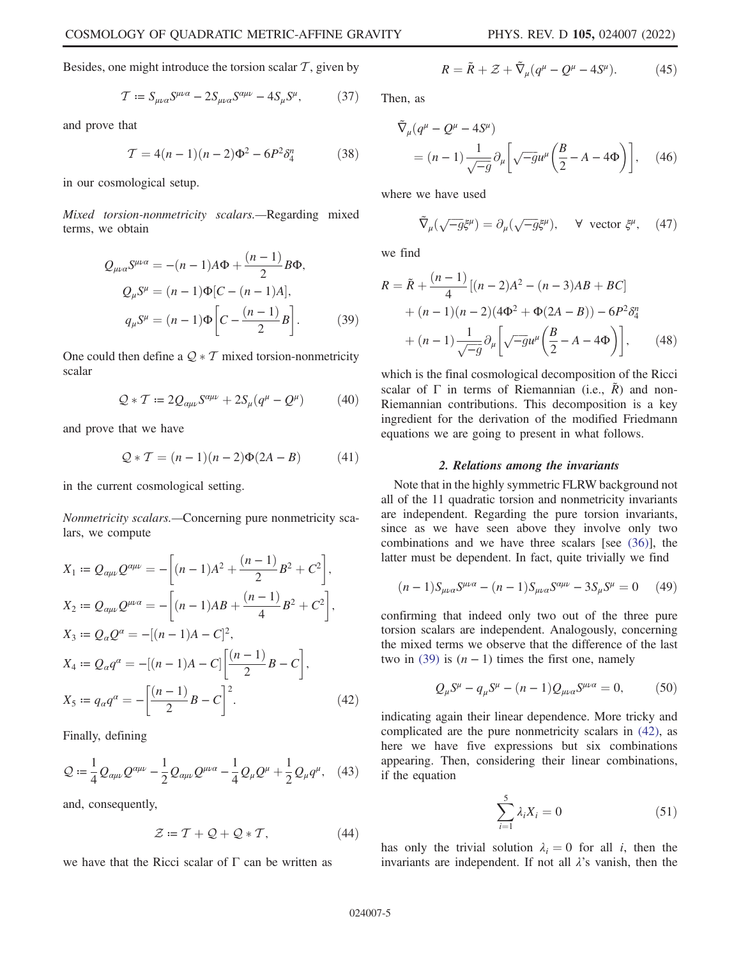Besides, one might introduce the torsion scalar  $\mathcal{T}$ , given by

$$
\mathcal{T} := S_{\mu\nu\alpha} S^{\mu\nu\alpha} - 2S_{\mu\nu\alpha} S^{\alpha\mu\nu} - 4S_{\mu} S^{\mu},\tag{37}
$$

and prove that

$$
T = 4(n-1)(n-2)\Phi^2 - 6P^2 \delta_4^n \tag{38}
$$

in our cosmological setup.

Mixed torsion-nonmetricity scalars.—Regarding mixed terms, we obtain

$$
Q_{\mu\nu\alpha}S^{\mu\nu\alpha} = -(n-1)A\Phi + \frac{(n-1)}{2}B\Phi,
$$
  
\n
$$
Q_{\mu}S^{\mu} = (n-1)\Phi[C - (n-1)A],
$$
  
\n
$$
q_{\mu}S^{\mu} = (n-1)\Phi\left[C - \frac{(n-1)}{2}B\right].
$$
\n(39)

One could then define a  $Q * T$  mixed torsion-nonmetricity scalar

$$
Q * T \coloneqq 2Q_{\alpha\mu\nu} S^{\alpha\mu\nu} + 2S_{\mu}(q^{\mu} - Q^{\mu}) \tag{40}
$$

and prove that we have

$$
Q * T = (n-1)(n-2)\Phi(2A - B)
$$
 (41)

in the current cosmological setting.

Nonmetricity scalars.—Concerning pure nonmetricity scalars, we compute

$$
X_1 := Q_{\alpha\mu\nu} Q^{\alpha\mu\nu} = -\left[ (n-1)A^2 + \frac{(n-1)}{2}B^2 + C^2 \right],
$$
  
\n
$$
X_2 := Q_{\alpha\mu\nu} Q^{\mu\nu\alpha} = -\left[ (n-1)AB + \frac{(n-1)}{4}B^2 + C^2 \right],
$$
  
\n
$$
X_3 := Q_\alpha Q^\alpha = -[(n-1)A - C]^2,
$$
  
\n
$$
X_4 := Q_\alpha q^\alpha = -[(n-1)A - C] \left[ \frac{(n-1)}{2}B - C \right],
$$
  
\n
$$
X_5 := q_\alpha q^\alpha = -\left[ \frac{(n-1)}{2}B - C \right]^2.
$$
  
\n(42)

Finally, defining

$$
\mathcal{Q} := \frac{1}{4} Q_{\alpha\mu\nu} Q^{\alpha\mu\nu} - \frac{1}{2} Q_{\alpha\mu\nu} Q^{\mu\nu\alpha} - \frac{1}{4} Q_{\mu} Q^{\mu} + \frac{1}{2} Q_{\mu} q^{\mu}, \quad (43)
$$

and, consequently,

$$
\mathcal{Z} \coloneqq T + \mathcal{Q} + \mathcal{Q} * T,\tag{44}
$$

we have that the Ricci scalar of  $\Gamma$  can be written as

$$
R = \tilde{R} + \mathcal{Z} + \tilde{\nabla}_{\mu} (q^{\mu} - Q^{\mu} - 4S^{\mu}). \tag{45}
$$

Then, as

$$
\tilde{\nabla}_{\mu} (q^{\mu} - Q^{\mu} - 4S^{\mu})
$$
\n
$$
= (n-1) \frac{1}{\sqrt{-g}} \partial_{\mu} \left[ \sqrt{-g} u^{\mu} \left( \frac{B}{2} - A - 4\Phi \right) \right], \quad (46)
$$

where we have used

$$
\tilde{\nabla}_{\mu}(\sqrt{-g}\xi^{\mu}) = \partial_{\mu}(\sqrt{-g}\xi^{\mu}), \quad \forall \text{ vector } \xi^{\mu}, \quad (47)
$$

we find

$$
R = \tilde{R} + \frac{(n-1)}{4} [(n-2)A^2 - (n-3)AB + BC] + (n-1)(n-2)(4\Phi^2 + \Phi(2A - B)) - 6P^2 \delta_4^n + (n-1)\frac{1}{\sqrt{-g}} \partial_\mu \left[ \sqrt{-g} u^\mu \left( \frac{B}{2} - A - 4\Phi \right) \right], \qquad (48)
$$

which is the final cosmological decomposition of the Ricci scalar of  $\Gamma$  in terms of Riemannian (i.e.,  $\tilde{R}$ ) and non-Riemannian contributions. This decomposition is a key ingredient for the derivation of the modified Friedmann equations we are going to present in what follows.

## 2. Relations among the invariants

Note that in the highly symmetric FLRW background not all of the 11 quadratic torsion and nonmetricity invariants are independent. Regarding the pure torsion invariants, since as we have seen above they involve only two combinations and we have three scalars [see (36)], the latter must be dependent. In fact, quite trivially we find

$$
(n-1)S_{\mu\nu\alpha}S^{\mu\nu\alpha} - (n-1)S_{\mu\nu\alpha}S^{\alpha\mu\nu} - 3S_{\mu}S^{\mu} = 0 \tag{49}
$$

confirming that indeed only two out of the three pure torsion scalars are independent. Analogously, concerning the mixed terms we observe that the difference of the last two in (39) is  $(n - 1)$  times the first one, namely

$$
Q_{\mu}S^{\mu} - q_{\mu}S^{\mu} - (n-1)Q_{\mu\nu\alpha}S^{\mu\nu\alpha} = 0, \qquad (50)
$$

indicating again their linear dependence. More tricky and complicated are the pure nonmetricity scalars in (42), as here we have five expressions but six combinations appearing. Then, considering their linear combinations, if the equation

$$
\sum_{i=1}^{5} \lambda_i X_i = 0 \tag{51}
$$

has only the trivial solution  $\lambda_i = 0$  for all i, then the invariants are independent. If not all  $\lambda$ 's vanish, then the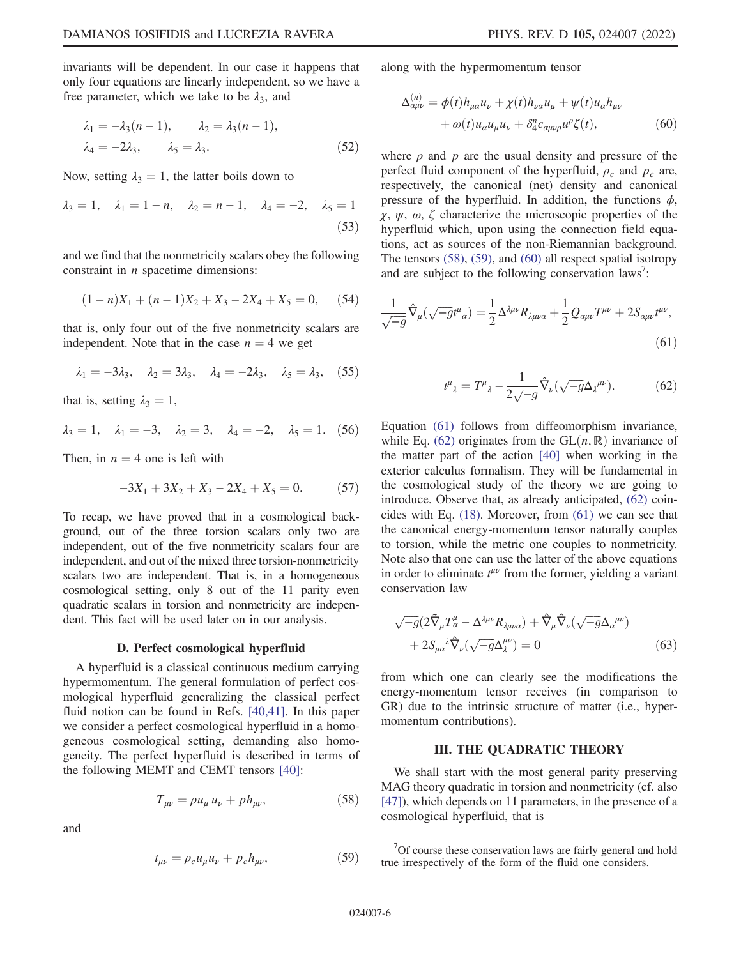invariants will be dependent. In our case it happens that only four equations are linearly independent, so we have a free parameter, which we take to be  $\lambda_3$ , and

$$
\lambda_1 = -\lambda_3(n-1), \qquad \lambda_2 = \lambda_3(n-1),
$$
  

$$
\lambda_4 = -2\lambda_3, \qquad \lambda_5 = \lambda_3.
$$
 (52)

Now, setting  $\lambda_3 = 1$ , the latter boils down to

$$
\lambda_3 = 1, \quad \lambda_1 = 1 - n, \quad \lambda_2 = n - 1, \quad \lambda_4 = -2, \quad \lambda_5 = 1
$$
\n(53)

and we find that the nonmetricity scalars obey the following constraint in  $n$  spacetime dimensions:

$$
(1 - n)X_1 + (n - 1)X_2 + X_3 - 2X_4 + X_5 = 0, \quad (54)
$$

that is, only four out of the five nonmetricity scalars are independent. Note that in the case  $n = 4$  we get

$$
\lambda_1 = -3\lambda_3, \quad \lambda_2 = 3\lambda_3, \quad \lambda_4 = -2\lambda_3, \quad \lambda_5 = \lambda_3, \quad (55)
$$

that is, setting  $\lambda_3 = 1$ ,

$$
\lambda_3 = 1
$$
,  $\lambda_1 = -3$ ,  $\lambda_2 = 3$ ,  $\lambda_4 = -2$ ,  $\lambda_5 = 1$ . (56)

Then, in  $n = 4$  one is left with

$$
-3X_1 + 3X_2 + X_3 - 2X_4 + X_5 = 0.
$$
 (57)

To recap, we have proved that in a cosmological background, out of the three torsion scalars only two are independent, out of the five nonmetricity scalars four are independent, and out of the mixed three torsion-nonmetricity scalars two are independent. That is, in a homogeneous cosmological setting, only 8 out of the 11 parity even quadratic scalars in torsion and nonmetricity are independent. This fact will be used later on in our analysis.

#### D. Perfect cosmological hyperfluid

A hyperfluid is a classical continuous medium carrying hypermomentum. The general formulation of perfect cosmological hyperfluid generalizing the classical perfect fluid notion can be found in Refs. [40,41]. In this paper we consider a perfect cosmological hyperfluid in a homogeneous cosmological setting, demanding also homogeneity. The perfect hyperfluid is described in terms of the following MEMT and CEMT tensors [40]:

$$
T_{\mu\nu} = \rho u_{\mu} u_{\nu} + p h_{\mu\nu}, \qquad (58)
$$

and

$$
t_{\mu\nu} = \rho_c u_\mu u_\nu + p_c h_{\mu\nu},\tag{59}
$$

along with the hypermomentum tensor

$$
\Delta_{\alpha\mu\nu}^{(n)} = \phi(t)h_{\mu\alpha}u_{\nu} + \chi(t)h_{\nu\alpha}u_{\mu} + \psi(t)u_{\alpha}h_{\mu\nu} + \omega(t)u_{\alpha}u_{\mu}u_{\nu} + \delta_{4}^{n}\epsilon_{\alpha\mu\nu\rho}u^{\rho}\zeta(t),
$$
\n(60)

where  $\rho$  and  $p$  are the usual density and pressure of the perfect fluid component of the hyperfluid,  $\rho_c$  and  $p_c$  are, respectively, the canonical (net) density and canonical pressure of the hyperfluid. In addition, the functions  $\phi$ ,  $\chi$ ,  $\psi$ ,  $\omega$ ,  $\zeta$  characterize the microscopic properties of the hyperfluid which, upon using the connection field equations, act as sources of the non-Riemannian background. The tensors (58), (59), and (60) all respect spatial isotropy and are subject to the following conservation  $laws^7$ :

$$
\frac{1}{\sqrt{-g}}\hat{\nabla}_{\mu}(\sqrt{-g}t^{\mu}{}_{\alpha}) = \frac{1}{2}\Delta^{\lambda\mu\nu}R_{\lambda\mu\nu\alpha} + \frac{1}{2}Q_{\alpha\mu\nu}T^{\mu\nu} + 2S_{\alpha\mu\nu}t^{\mu\nu},\tag{61}
$$

$$
t^{\mu}_{\ \lambda} = T^{\mu}_{\ \lambda} - \frac{1}{2\sqrt{-g}} \hat{\nabla}_{\nu} (\sqrt{-g} \Delta_{\lambda}^{\ \mu \nu}). \tag{62}
$$

Equation (61) follows from diffeomorphism invariance, while Eq. (62) originates from the  $GL(n, \mathbb{R})$  invariance of the matter part of the action [40] when working in the exterior calculus formalism. They will be fundamental in the cosmological study of the theory we are going to introduce. Observe that, as already anticipated, (62) coincides with Eq. (18). Moreover, from (61) we can see that the canonical energy-momentum tensor naturally couples to torsion, while the metric one couples to nonmetricity. Note also that one can use the latter of the above equations in order to eliminate  $t^{\mu\nu}$  from the former, yielding a variant conservation law

$$
\sqrt{-g} \left( 2 \tilde{\nabla}_{\mu} T^{\mu}_{\alpha} - \Delta^{\lambda \mu \nu} R_{\lambda \mu \nu \alpha} \right) + \hat{\nabla}_{\mu} \hat{\nabla}_{\nu} \left( \sqrt{-g} \Delta_{\alpha}^{\mu \nu} \right) + 2 S_{\mu \alpha}^{\lambda} \hat{\nabla}_{\nu} \left( \sqrt{-g} \Delta_{\lambda}^{\mu \nu} \right) = 0
$$
\n(63)

from which one can clearly see the modifications the energy-momentum tensor receives (in comparison to GR) due to the intrinsic structure of matter (i.e., hypermomentum contributions).

## III. THE QUADRATIC THEORY

We shall start with the most general parity preserving MAG theory quadratic in torsion and nonmetricity (cf. also [47]), which depends on 11 parameters, in the presence of a cosmological hyperfluid, that is

 $7$ Of course these conservation laws are fairly general and hold true irrespectively of the form of the fluid one considers.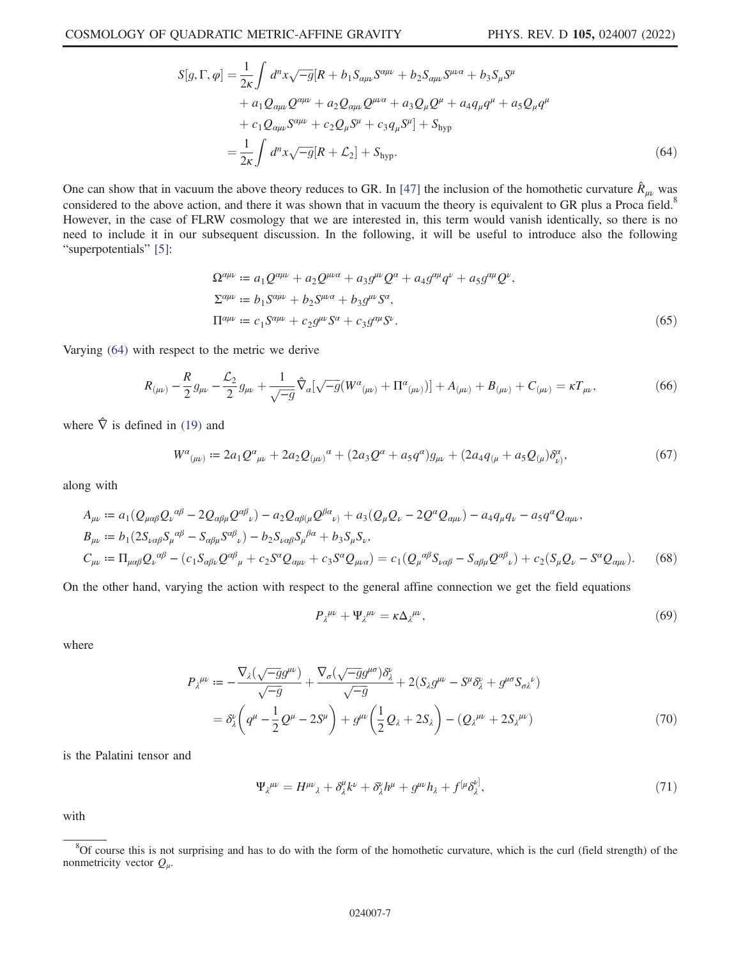$$
S[g,\Gamma,\varphi] = \frac{1}{2\kappa} \int d^n x \sqrt{-g} [R + b_1 S_{\alpha\mu\nu} S^{\alpha\mu\nu} + b_2 S_{\alpha\mu\nu} S^{\mu\nu\alpha} + b_3 S_{\mu} S^{\mu} + a_1 Q_{\alpha\mu\nu} Q^{\alpha\mu\nu} + a_2 Q_{\alpha\mu\nu} Q^{\mu\nu\alpha} + a_3 Q_{\mu} Q^{\mu} + a_4 q_{\mu} q^{\mu} + a_5 Q_{\mu} q^{\mu} + c_1 Q_{\alpha\mu\nu} S^{\alpha\mu\nu} + c_2 Q_{\mu} S^{\mu} + c_3 q_{\mu} S^{\mu}] + S_{\text{hyp}} = \frac{1}{2\kappa} \int d^n x \sqrt{-g} [R + \mathcal{L}_2] + S_{\text{hyp}}.
$$
(64)

One can show that in vacuum the above theory reduces to GR. In [47] the inclusion of the homothetic curvature  $\hat{R}_{\mu\nu}$  was considered to the above action, and there it was shown that in vacuum the theory is equivalent to GR plus a Proca field.<sup>8</sup> However, in the case of FLRW cosmology that we are interested in, this term would vanish identically, so there is no need to include it in our subsequent discussion. In the following, it will be useful to introduce also the following "superpotentials" [5]:

$$
\Omega^{\alpha\mu\nu} := a_1 Q^{\alpha\mu\nu} + a_2 Q^{\mu\nu\alpha} + a_3 g^{\mu\nu} Q^{\alpha} + a_4 g^{\alpha\mu} q^{\nu} + a_5 g^{\alpha\mu} Q^{\nu},
$$
  
\n
$$
\Sigma^{\alpha\mu\nu} := b_1 S^{\alpha\mu\nu} + b_2 S^{\mu\nu\alpha} + b_3 g^{\mu\nu} S^{\alpha},
$$
  
\n
$$
\Pi^{\alpha\mu\nu} := c_1 S^{\alpha\mu\nu} + c_2 g^{\mu\nu} S^{\alpha} + c_3 g^{\alpha\mu} S^{\nu}.
$$
\n(65)

Varying (64) with respect to the metric we derive

$$
R_{(\mu\nu)} - \frac{R}{2}g_{\mu\nu} - \frac{L_2}{2}g_{\mu\nu} + \frac{1}{\sqrt{-g}}\hat{\nabla}_a[\sqrt{-g}(W^a{}_{(\mu\nu)} + \Pi^a{}_{(\mu\nu)})] + A_{(\mu\nu)} + B_{(\mu\nu)} + C_{(\mu\nu)} = \kappa T_{\mu\nu},\tag{66}
$$

where  $\hat{\nabla}$  is defined in (19) and

$$
W^{\alpha}{}_{(\mu\nu)} := 2a_1 Q^{\alpha}{}_{\mu\nu} + 2a_2 Q_{(\mu\nu)}{}^{\alpha} + (2a_3 Q^{\alpha} + a_5 q^{\alpha}) g_{\mu\nu} + (2a_4 q_{(\mu} + a_5 Q_{(\mu)}) \delta^{\alpha}_{\nu)},\tag{67}
$$

along with

$$
A_{\mu\nu} := a_1 (Q_{\mu\alpha\beta} Q_{\nu}{}^{\alpha\beta} - 2Q_{\alpha\beta\mu} Q^{\alpha\beta}_{\nu}) - a_2 Q_{\alpha\beta(\mu} Q^{\beta\alpha}_{\nu)} + a_3 (Q_{\mu} Q_{\nu} - 2Q^{\alpha} Q_{\alpha\mu\nu}) - a_4 q_{\mu} q_{\nu} - a_5 q^{\alpha} Q_{\alpha\mu\nu},
$$
  
\n
$$
B_{\mu\nu} := b_1 (2S_{\nu\alpha\beta} S_{\mu}{}^{\alpha\beta} - S_{\alpha\beta\mu} S^{\alpha\beta}_{\nu}) - b_2 S_{\nu\alpha\beta} S_{\mu}{}^{\beta\alpha} + b_3 S_{\mu} S_{\nu},
$$
  
\n
$$
C_{\mu\nu} := \Pi_{\mu\alpha\beta} Q_{\nu}{}^{\alpha\beta} - (c_1 S_{\alpha\beta\nu} Q^{\alpha\beta}_{\mu} + c_2 S^{\alpha} Q_{\alpha\mu\nu} + c_3 S^{\alpha} Q_{\mu\nu\alpha}) = c_1 (Q_{\mu}{}^{\alpha\beta} S_{\nu\alpha\beta} - S_{\alpha\beta\mu} Q^{\alpha\beta}_{\nu}) + c_2 (S_{\mu} Q_{\nu} - S^{\alpha} Q_{\alpha\mu\nu}).
$$
 (68)

On the other hand, varying the action with respect to the general affine connection we get the field equations

$$
P_{\lambda}^{\mu\nu} + \Psi_{\lambda}^{\mu\nu} = \kappa \Delta_{\lambda}^{\ \mu\nu},\tag{69}
$$

where

$$
P_{\lambda}^{\mu\nu} := -\frac{\nabla_{\lambda}(\sqrt{-g}g^{\mu\nu})}{\sqrt{-g}} + \frac{\nabla_{\sigma}(\sqrt{-g}g^{\mu\sigma})\delta_{\lambda}^{\nu}}{\sqrt{-g}} + 2(S_{\lambda}g^{\mu\nu} - S^{\mu}\delta_{\lambda}^{\nu} + g^{\mu\sigma}S_{\sigma\lambda}^{\nu})
$$
  
=  $\delta_{\lambda}^{\nu}\left(q^{\mu} - \frac{1}{2}Q^{\mu} - 2S^{\mu}\right) + g^{\mu\nu}\left(\frac{1}{2}Q_{\lambda} + 2S_{\lambda}\right) - (Q_{\lambda}^{\mu\nu} + 2S_{\lambda}^{\mu\nu})$  (70)

is the Palatini tensor and

$$
\Psi_{\lambda}^{\mu\nu} = H^{\mu\nu}{}_{\lambda} + \delta^{\mu}_{\lambda}k^{\nu} + \delta^{\nu}_{\lambda}h^{\mu} + g^{\mu\nu}h_{\lambda} + f^{\left[\mu}\delta^{\nu\right]}_{\lambda},\tag{71}
$$

with

 ${}^{8}$ Of course this is not surprising and has to do with the form of the homothetic curvature, which is the curl (field strength) of the nonmetricity vector  $Q_\mu$ .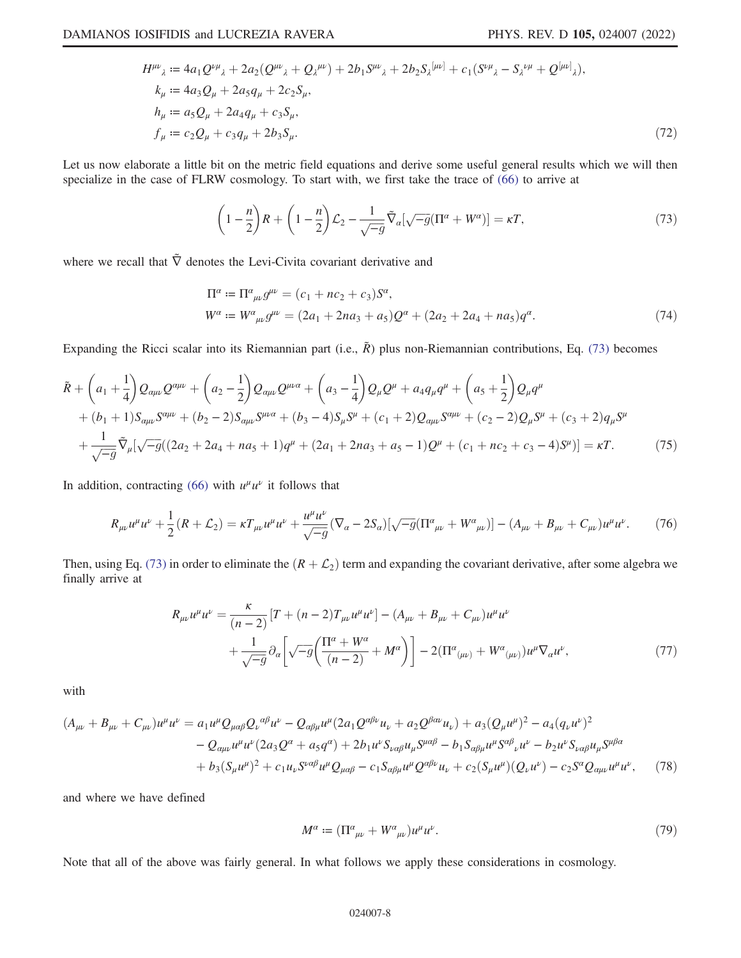$$
H^{\mu\nu}_{\ \lambda} := 4a_1 Q^{\nu\mu}_{\ \lambda} + 2a_2 (Q^{\mu\nu}_{\ \lambda} + Q_{\lambda}^{\ \mu\nu}) + 2b_1 S^{\mu\nu}_{\ \lambda} + 2b_2 S_{\lambda}^{\, [\mu\nu]} + c_1 (S^{\nu\mu}_{\ \lambda} - S_{\lambda}^{\ \nu\mu} + Q^{[\mu\nu]}_{\ \lambda}),
$$
  
\n
$$
k_{\mu} := 4a_3 Q_{\mu} + 2a_5 q_{\mu} + 2c_2 S_{\mu},
$$
  
\n
$$
h_{\mu} := a_5 Q_{\mu} + 2a_4 q_{\mu} + c_3 S_{\mu},
$$
  
\n
$$
f_{\mu} := c_2 Q_{\mu} + c_3 q_{\mu} + 2b_3 S_{\mu}.
$$
\n(72)

Let us now elaborate a little bit on the metric field equations and derive some useful general results which we will then specialize in the case of FLRW cosmology. To start with, we first take the trace of (66) to arrive at

$$
\left(1 - \frac{n}{2}\right)R + \left(1 - \frac{n}{2}\right)\mathcal{L}_2 - \frac{1}{\sqrt{-g}}\tilde{\nabla}_a[\sqrt{-g}(\Pi^a + W^a)] = \kappa T,\tag{73}
$$

where we recall that  $\tilde{\nabla}$  denotes the Levi-Civita covariant derivative and

$$
\Pi^{\alpha} := \Pi^{\alpha}{}_{\mu\nu} g^{\mu\nu} = (c_1 + nc_2 + c_3) S^{\alpha},
$$
  
\n
$$
W^{\alpha} := W^{\alpha}{}_{\mu\nu} g^{\mu\nu} = (2a_1 + 2na_3 + a_5) Q^{\alpha} + (2a_2 + 2a_4 + na_5) q^{\alpha}.
$$
\n(74)

Expanding the Ricci scalar into its Riemannian part (i.e.,  $\tilde{R}$ ) plus non-Riemannian contributions, Eq. (73) becomes

$$
\tilde{R} + \left(a_1 + \frac{1}{4}\right)Q_{\alpha\mu\nu}Q^{\alpha\mu\nu} + \left(a_2 - \frac{1}{2}\right)Q_{\alpha\mu\nu}Q^{\mu\nu\alpha} + \left(a_3 - \frac{1}{4}\right)Q_{\mu}Q^{\mu} + a_4q_{\mu}q^{\mu} + \left(a_5 + \frac{1}{2}\right)Q_{\mu}q^{\mu} \n+ (b_1 + 1)S_{\alpha\mu\nu}S^{\alpha\mu\nu} + (b_2 - 2)S_{\alpha\mu\nu}S^{\mu\nu\alpha} + (b_3 - 4)S_{\mu}S^{\mu} + (c_1 + 2)Q_{\alpha\mu\nu}S^{\alpha\mu\nu} + (c_2 - 2)Q_{\mu}S^{\mu} + (c_3 + 2)q_{\mu}S^{\mu} \n+ \frac{1}{\sqrt{-g}}\tilde{\nabla}_{\mu}[\sqrt{-g}((2a_2 + 2a_4 + na_5 + 1)q^{\mu} + (2a_1 + 2na_3 + a_5 - 1)Q^{\mu} + (c_1 + nc_2 + c_3 - 4)S^{\mu})] = \kappa T.
$$
\n(75)

In addition, contracting (66) with  $u^{\mu}u^{\nu}$  it follows that

$$
R_{\mu\nu}u^{\mu}u^{\nu} + \frac{1}{2}(R + \mathcal{L}_2) = \kappa T_{\mu\nu}u^{\mu}u^{\nu} + \frac{u^{\mu}u^{\nu}}{\sqrt{-g}}(\nabla_{\alpha} - 2S_{\alpha})[\sqrt{-g}(\Pi^{\alpha}{}_{\mu\nu} + W^{\alpha}{}_{\mu\nu})] - (A_{\mu\nu} + B_{\mu\nu} + C_{\mu\nu})u^{\mu}u^{\nu}.
$$
 (76)

Then, using Eq. (73) in order to eliminate the  $(R + \mathcal{L}_2)$  term and expanding the covariant derivative, after some algebra we finally arrive at

$$
R_{\mu\nu}u^{\mu}u^{\nu} = \frac{\kappa}{(n-2)}[T + (n-2)T_{\mu\nu}u^{\mu}u^{\nu}] - (A_{\mu\nu} + B_{\mu\nu} + C_{\mu\nu})u^{\mu}u^{\nu} + \frac{1}{\sqrt{-g}}\partial_{\alpha}\left[\sqrt{-g}\left(\frac{\Pi^{\alpha} + W^{\alpha}}{(n-2)} + M^{\alpha}\right)\right] - 2(\Pi^{\alpha}{}_{(\mu\nu)} + W^{\alpha}{}_{(\mu\nu)})u^{\mu}\nabla_{\alpha}u^{\nu},\tag{77}
$$

with

$$
(A_{\mu\nu} + B_{\mu\nu} + C_{\mu\nu})u^{\mu}u^{\nu} = a_1u^{\mu}Q_{\mu\alpha\beta}Q_{\nu}^{\alpha\beta}u^{\nu} - Q_{\alpha\beta\mu}u^{\mu}(2a_1Q^{\alpha\beta\nu}u_{\nu} + a_2Q^{\beta\alpha\nu}u_{\nu}) + a_3(Q_{\mu}u^{\mu})^2 - a_4(q_{\nu}u^{\nu})^2 - Q_{\alpha\mu\nu}u^{\mu}u^{\nu}(2a_3Q^{\alpha} + a_5q^{\alpha}) + 2b_1u^{\nu}S_{\nu\alpha\beta}u_{\mu}S^{\mu\alpha\beta} - b_1S_{\alpha\beta\mu}u^{\mu}S^{\alpha\beta}{}_{\nu}u^{\nu} - b_2u^{\nu}S_{\nu\alpha\beta}u_{\mu}S^{\mu\beta\alpha} + b_3(S_{\mu}u^{\mu})^2 + c_1u_{\nu}S^{\nu\alpha\beta}u^{\mu}Q_{\mu\alpha\beta} - c_1S_{\alpha\beta\mu}u^{\mu}Q^{\alpha\beta\nu}u_{\nu} + c_2(S_{\mu}u^{\mu})(Q_{\nu}u^{\nu}) - c_2S^{\alpha}Q_{\alpha\mu\nu}u^{\mu}u^{\nu}, \qquad (78)
$$

and where we have defined

$$
M^{\alpha} := (\Pi^{\alpha}{}_{\mu\nu} + W^{\alpha}{}_{\mu\nu})u^{\mu}u^{\nu}.
$$
\n(79)

Note that all of the above was fairly general. In what follows we apply these considerations in cosmology.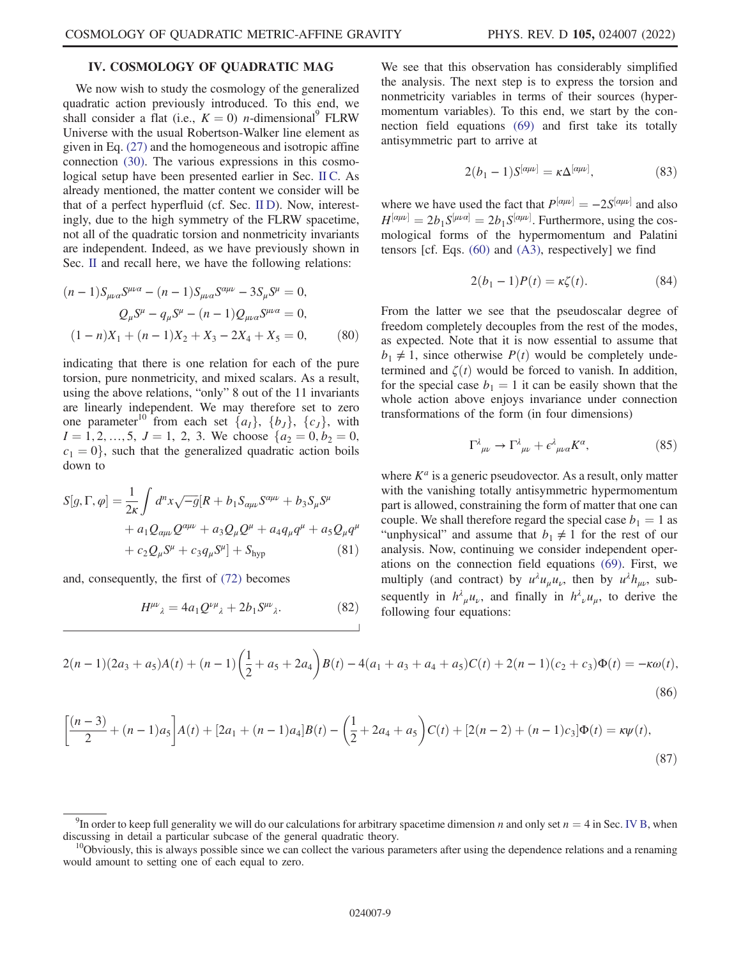# IV. COSMOLOGY OF QUADRATIC MAG

We now wish to study the cosmology of the generalized quadratic action previously introduced. To this end, we shall consider a flat (i.e.,  $K = 0$ ) *n*-dimensional<sup>9</sup> FLRW Universe with the usual Robertson-Walker line element as given in Eq. (27) and the homogeneous and isotropic affine connection (30). The various expressions in this cosmological setup have been presented earlier in Sec. II C. As already mentioned, the matter content we consider will be that of a perfect hyperfluid (cf. Sec. II D). Now, interestingly, due to the high symmetry of the FLRW spacetime, not all of the quadratic torsion and nonmetricity invariants are independent. Indeed, as we have previously shown in Sec. II and recall here, we have the following relations:

$$
(n-1)S_{\mu\nu\alpha}S^{\mu\nu\alpha} - (n-1)S_{\mu\nu\alpha}S^{\alpha\mu\nu} - 3S_{\mu}S^{\mu} = 0,
$$
  

$$
Q_{\mu}S^{\mu} - q_{\mu}S^{\mu} - (n-1)Q_{\mu\nu\alpha}S^{\mu\nu\alpha} = 0,
$$
  

$$
(1-n)X_1 + (n-1)X_2 + X_3 - 2X_4 + X_5 = 0,
$$
 (80)

indicating that there is one relation for each of the pure torsion, pure nonmetricity, and mixed scalars. As a result, using the above relations, "only" 8 out of the 11 invariants are linearly independent. We may therefore set to zero one parameter<sup>10</sup> from each set  $\{a_I\}$ ,  $\{b_J\}$ ,  $\{c_J\}$ , with  $I = 1, 2, ..., 5, J = 1, 2, 3.$  We choose  $\{a_2 = 0, b_2 = 0,$  $c_1 = 0$ , such that the generalized quadratic action boils down to

$$
S[g,\Gamma,\varphi] = \frac{1}{2\kappa} \int d^n x \sqrt{-g} [R + b_1 S_{\alpha\mu\nu} S^{\alpha\mu\nu} + b_3 S_\mu S^\mu
$$
  
+  $a_1 Q_{\alpha\mu\nu} Q^{\alpha\mu\nu} + a_3 Q_\mu Q^\mu + a_4 q_\mu q^\mu + a_5 Q_\mu q^\mu$   
+  $c_2 Q_\mu S^\mu + c_3 q_\mu S^\mu] + S_{\text{hyp}}$  (81)

and, consequently, the first of (72) becomes

$$
H^{\mu\nu}{}_{\lambda} = 4a_1 \mathcal{Q}^{\nu\mu}{}_{\lambda} + 2b_1 S^{\mu\nu}{}_{\lambda}. \tag{82}
$$

We see that this observation has considerably simplified the analysis. The next step is to express the torsion and nonmetricity variables in terms of their sources (hypermomentum variables). To this end, we start by the connection field equations (69) and first take its totally antisymmetric part to arrive at

$$
2(b_1 - 1)S^{[\alpha\mu\nu]} = \kappa \Delta^{[\alpha\mu\nu]},\tag{83}
$$

where we have used the fact that  $P^{[\alpha\mu\nu]} = -2S^{[\alpha\mu\nu]}$  and also  $H^{[\alpha\mu\nu]} = 2K S^{[\alpha\mu\nu]}$  Eurthermore, using the cos  $H^{[\alpha\mu\nu]} = 2b_1 S^{[\alpha\mu\nu]} = 2b_1 S^{[\alpha\mu\nu]}$ . Furthermore, using the cos-<br>mological forms of the hypermomentum and Palatini mological forms of the hypermomentum and Palatini tensors [cf. Eqs.  $(60)$  and  $(A3)$ , respectively] we find

$$
2(b_1 - 1)P(t) = \kappa \zeta(t). \tag{84}
$$

From the latter we see that the pseudoscalar degree of freedom completely decouples from the rest of the modes, as expected. Note that it is now essential to assume that  $b_1 \neq 1$ , since otherwise  $P(t)$  would be completely undetermined and  $\zeta(t)$  would be forced to vanish. In addition, for the special case  $b_1 = 1$  it can be easily shown that the whole action above enjoys invariance under connection transformations of the form (in four dimensions)

$$
\Gamma^{\lambda}{}_{\mu\nu} \to \Gamma^{\lambda}{}_{\mu\nu} + \epsilon^{\lambda}{}_{\mu\nu\alpha} K^{\alpha},\tag{85}
$$

where  $K^a$  is a generic pseudovector. As a result, only matter with the vanishing totally antisymmetric hypermomentum part is allowed, constraining the form of matter that one can couple. We shall therefore regard the special case  $b_1 = 1$  as "unphysical" and assume that  $b_1 \neq 1$  for the rest of our analysis. Now, continuing we consider independent operations on the connection field equations (69). First, we multiply (and contract) by  $u^{\lambda}u_{\mu}u_{\nu}$ , then by  $u^{\lambda}h_{\mu\nu}$ , subsequently in  $h^{\lambda}_{\mu}u_{\nu}$ , and finally in  $h^{\lambda}_{\nu}u_{\mu}$ , to derive the following four equations:

$$
2(n-1)(2a_3 + a_5)A(t) + (n-1)\left(\frac{1}{2} + a_5 + 2a_4\right)B(t) - 4(a_1 + a_3 + a_4 + a_5)C(t) + 2(n-1)(c_2 + c_3)\Phi(t) = -\kappa\omega(t),\tag{86}
$$

$$
\left[\frac{(n-3)}{2} + (n-1)a_5\right]A(t) + [2a_1 + (n-1)a_4]B(t) - \left(\frac{1}{2} + 2a_4 + a_5\right)C(t) + [2(n-2) + (n-1)c_3]\Phi(t) = \kappa\psi(t),\tag{87}
$$

<sup>&</sup>lt;sup>9</sup>In order to keep full generality we will do our calculations for arbitrary spacetime dimension *n* and only set  $n = 4$  in Sec. IV B, when cussing in detail a particular subcase of the general quadratic theory. discussing in detail a particular subcase of the general quadratic theory.<br><sup>10</sup>Obviously, this is always possible since we can collect the various parameters after using the dependence relations and a renaming

would amount to setting one of each equal to zero.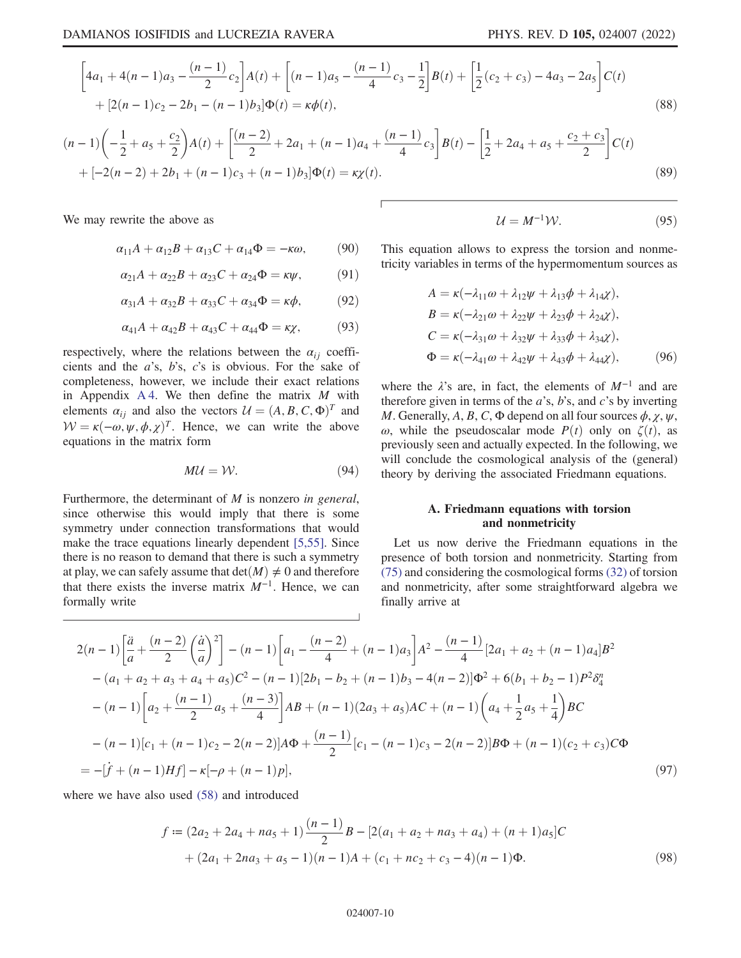$$
\[4a_1 + 4(n-1)a_3 - \frac{(n-1)}{2}c_2\]A(t) + \[(n-1)a_5 - \frac{(n-1)}{4}c_3 - \frac{1}{2}\]B(t) + \left[\frac{1}{2}(c_2 + c_3) - 4a_3 - 2a_5\right]C(t) + [2(n-1)c_2 - 2b_1 - (n-1)b_3]\Phi(t) = \kappa\phi(t),\tag{88}
$$

$$
(n-1)\left(-\frac{1}{2} + a_5 + \frac{c_2}{2}\right)A(t) + \left[\frac{(n-2)}{2} + 2a_1 + (n-1)a_4 + \frac{(n-1)}{4}c_3\right]B(t) - \left[\frac{1}{2} + 2a_4 + a_5 + \frac{c_2 + c_3}{2}\right]C(t) + [-2(n-2) + 2b_1 + (n-1)c_3 + (n-1)b_3]\Phi(t) = \kappa \chi(t).
$$
\n(89)

We may rewrite the above as

$$
\alpha_{11}A + \alpha_{12}B + \alpha_{13}C + \alpha_{14}\Phi = -\kappa\omega, \qquad (90)
$$

$$
\alpha_{21}A + \alpha_{22}B + \alpha_{23}C + \alpha_{24}\Phi = \kappa\psi, \qquad (91)
$$

$$
\alpha_{31}A + \alpha_{32}B + \alpha_{33}C + \alpha_{34}\Phi = \kappa\phi, \qquad (92)
$$

$$
\alpha_{41}A + \alpha_{42}B + \alpha_{43}C + \alpha_{44}\Phi = \kappa \chi, \tag{93}
$$

respectively, where the relations between the  $\alpha_{ij}$  coefficients and the a's, b's, c's is obvious. For the sake of completeness, however, we include their exact relations in Appendix  $A_4$ . We then define the matrix  $M$  with elements  $\alpha_{ij}$  and also the vectors  $\mathcal{U} = (A, B, C, \Phi)^T$  and  $W = \kappa(-\omega, \psi, \phi, \chi)^T$ . Hence, we can write the above equations in the matrix form

$$
MU = W.
$$
 (94)

Furthermore, the determinant of  $M$  is nonzero in general, since otherwise this would imply that there is some symmetry under connection transformations that would make the trace equations linearly dependent [5,55]. Since there is no reason to demand that there is such a symmetry at play, we can safely assume that  $det(M) \neq 0$  and therefore that there exists the inverse matrix  $M^{-1}$ . Hence, we can formally write

$$
\mathcal{U} = M^{-1} \mathcal{W}.\tag{95}
$$

This equation allows to express the torsion and nonmetricity variables in terms of the hypermomentum sources as

$$
A = \kappa(-\lambda_{11}\omega + \lambda_{12}\psi + \lambda_{13}\phi + \lambda_{14}\chi),
$$
  
\n
$$
B = \kappa(-\lambda_{21}\omega + \lambda_{22}\psi + \lambda_{23}\phi + \lambda_{24}\chi),
$$
  
\n
$$
C = \kappa(-\lambda_{31}\omega + \lambda_{32}\psi + \lambda_{33}\phi + \lambda_{34}\chi),
$$
  
\n
$$
\Phi = \kappa(-\lambda_{41}\omega + \lambda_{42}\psi + \lambda_{43}\phi + \lambda_{44}\chi),
$$
 (96)

where the  $\lambda$ 's are, in fact, the elements of  $M^{-1}$  and are therefore given in terms of the  $a$ 's,  $b$ 's, and  $c$ 's by inverting M. Generally, A, B, C,  $\Phi$  depend on all four sources  $\phi$ ,  $\chi$ ,  $\psi$ , ω, while the pseudoscalar mode  $P(t)$  only on  $\zeta(t)$ , as previously seen and actually expected. In the following, we will conclude the cosmological analysis of the (general) theory by deriving the associated Friedmann equations.

## A. Friedmann equations with torsion and nonmetricity

Let us now derive the Friedmann equations in the presence of both torsion and nonmetricity. Starting from (75) and considering the cosmological forms (32) of torsion and nonmetricity, after some straightforward algebra we finally arrive at

$$
2(n-1)\left[\frac{\ddot{a}}{a} + \frac{(n-2)}{2}\left(\frac{\dot{a}}{a}\right)^2\right] - (n-1)\left[a_1 - \frac{(n-2)}{4} + (n-1)a_3\right]A^2 - \frac{(n-1)}{4}\left[2a_1 + a_2 + (n-1)a_4\right]B^2
$$
  
-(a<sub>1</sub> + a<sub>2</sub> + a<sub>3</sub> + a<sub>4</sub> + a<sub>5</sub>)C<sup>2</sup> - (n-1)\left[2b\_1 - b\_2 + (n-1)b\_3 - 4(n-2)\right]\Phi^2 + 6(b\_1 + b\_2 - 1)P^2\delta^n\_4  
-(n-1)\left[a\_2 + \frac{(n-1)}{2}a\_5 + \frac{(n-3)}{4}\right]AB + (n-1)(2a\_3 + a\_5)AC + (n-1)\left(a\_4 + \frac{1}{2}a\_5 + \frac{1}{4}\right)BC  
-(n-1)\left[c\_1 + (n-1)c\_2 - 2(n-2)\right]A\Phi + \frac{(n-1)}{2}\left[c\_1 - (n-1)c\_3 - 2(n-2)\right]B\Phi + (n-1)(c\_2 + c\_3)C\Phi  
= -\left[\dot{f} + (n-1)Hf\right] - \kappa[-\rho + (n-1)p], \tag{97}

where we have also used (58) and introduced

$$
f = (2a_2 + 2a_4 + na_5 + 1) \frac{(n-1)}{2} B - [2(a_1 + a_2 + na_3 + a_4) + (n+1)a_5]C
$$
  
+  $(2a_1 + 2na_3 + a_5 - 1)(n-1)A + (c_1 + nc_2 + c_3 - 4)(n-1)\Phi.$  (98)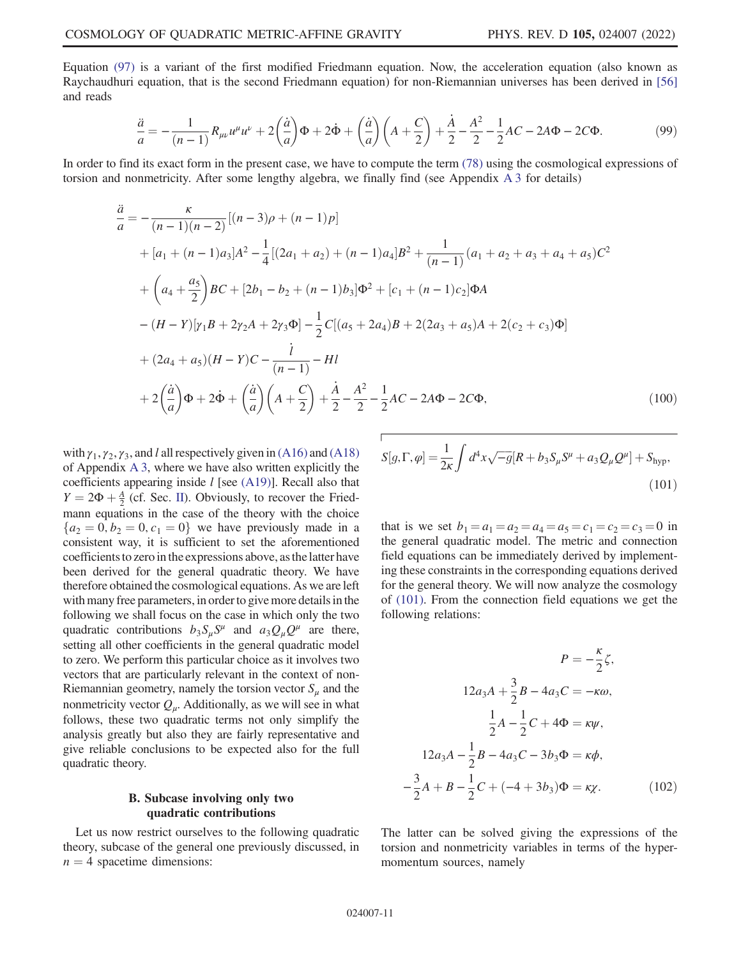Equation (97) is a variant of the first modified Friedmann equation. Now, the acceleration equation (also known as Raychaudhuri equation, that is the second Friedmann equation) for non-Riemannian universes has been derived in [56] and reads

$$
\frac{\ddot{a}}{a} = -\frac{1}{(n-1)}R_{\mu\nu}u^{\mu}u^{\nu} + 2\left(\frac{\dot{a}}{a}\right)\Phi + 2\dot{\Phi} + \left(\frac{\dot{a}}{a}\right)\left(A + \frac{C}{2}\right) + \frac{\dot{A}}{2} - \frac{A^{2}}{2} - \frac{1}{2}AC - 2A\Phi - 2C\Phi.
$$
\n(99)

In order to find its exact form in the present case, we have to compute the term (78) using the cosmological expressions of torsion and nonmetricity. After some lengthy algebra, we finally find (see Appendix A 3 for details)

$$
\frac{\ddot{a}}{a} = -\frac{\kappa}{(n-1)(n-2)}[(n-3)\rho + (n-1)p] \n+ [a_1 + (n-1)a_3]A^2 - \frac{1}{4}[(2a_1 + a_2) + (n-1)a_4]B^2 + \frac{1}{(n-1)}(a_1 + a_2 + a_3 + a_4 + a_5)C^2 \n+ \left(a_4 + \frac{a_5}{2}\right)BC + [2b_1 - b_2 + (n-1)b_3]\Phi^2 + [c_1 + (n-1)c_2]\Phi A \n- (H - Y)[\gamma_1B + 2\gamma_2A + 2\gamma_3\Phi] - \frac{1}{2}C[(a_5 + 2a_4)B + 2(2a_3 + a_5)A + 2(c_2 + c_3)\Phi] \n+ (2a_4 + a_5)(H - Y)C - \frac{i}{(n-1)} - HI \n+ 2\left(\frac{\dot{a}}{a}\right)\Phi + 2\dot{\Phi} + \left(\frac{\dot{a}}{a}\right)\left(A + \frac{C}{2}\right) + \frac{\dot{A}}{2} - \frac{A^2}{2} - \frac{1}{2}AC - 2A\Phi - 2C\Phi,
$$
\n(100)

with  $\gamma_1$ ,  $\gamma_2$ ,  $\gamma_3$ , and l all respectively given in (A16) and (A18) of Appendix A 3, where we have also written explicitly the coefficients appearing inside  $l$  [see (A19)]. Recall also that  $Y = 2\Phi + \frac{A}{2}$  (cf. Sec. II). Obviously, to recover the Fried-<br>mann equations in the case of the theory with the choice mann equations in the case of the theory with the choice  ${a_2 = 0, b_2 = 0, c_1 = 0}$  we have previously made in a consistent way, it is sufficient to set the aforementioned coefficients to zero in the expressions above, as the latter have been derived for the general quadratic theory. We have therefore obtained the cosmological equations. As we are left with many free parameters, in order to give more details in the following we shall focus on the case in which only the two quadratic contributions  $b_3S_{\mu}S^{\mu}$  and  $a_3Q_{\mu}Q^{\mu}$  are there, setting all other coefficients in the general quadratic model to zero. We perform this particular choice as it involves two vectors that are particularly relevant in the context of non-Riemannian geometry, namely the torsion vector  $S_{\mu}$  and the nonmetricity vector  $Q_{\mu}$ . Additionally, as we will see in what follows, these two quadratic terms not only simplify the analysis greatly but also they are fairly representative and give reliable conclusions to be expected also for the full quadratic theory.

## B. Subcase involving only two quadratic contributions

Let us now restrict ourselves to the following quadratic theory, subcase of the general one previously discussed, in  $n = 4$  spacetime dimensions:

$$
S[g,\Gamma,\varphi] = \frac{1}{2\kappa} \int d^4x \sqrt{-g} [R + b_3 S_\mu S^\mu + a_3 Q_\mu Q^\mu] + S_{\text{hyp}},
$$
\n(101)

that is we set  $b_1 = a_1 = a_2 = a_4 = a_5 = c_1 = c_2 = c_3 = 0$  in the general quadratic model. The metric and connection field equations can be immediately derived by implementing these constraints in the corresponding equations derived for the general theory. We will now analyze the cosmology of (101). From the connection field equations we get the following relations:

$$
P = -\frac{\kappa}{2}\zeta,
$$
  
\n
$$
12a_3A + \frac{3}{2}B - 4a_3C = -\kappa\omega,
$$
  
\n
$$
\frac{1}{2}A - \frac{1}{2}C + 4\Phi = \kappa\psi,
$$
  
\n
$$
12a_3A - \frac{1}{2}B - 4a_3C - 3b_3\Phi = \kappa\phi,
$$
  
\n
$$
-\frac{3}{2}A + B - \frac{1}{2}C + (-4 + 3b_3)\Phi = \kappa\chi.
$$
 (102)

The latter can be solved giving the expressions of the torsion and nonmetricity variables in terms of the hypermomentum sources, namely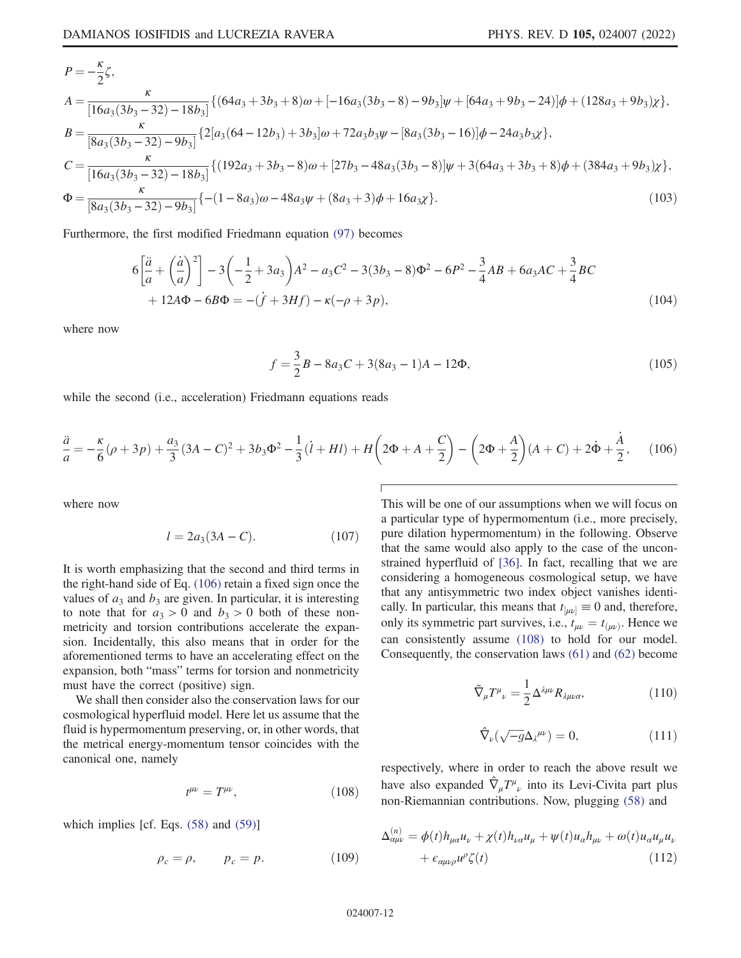$$
P = -\frac{\kappa}{2}\zeta,
$$
  
\n
$$
A = \frac{\kappa}{[16a_3(3b_3 - 32) - 18b_3]} \{ (64a_3 + 3b_3 + 8)\omega + [-16a_3(3b_3 - 8) - 9b_3]\psi + [64a_3 + 9b_3 - 24]\psi + (128a_3 + 9b_3)\chi \},
$$
  
\n
$$
B = \frac{\kappa}{[8a_3(3b_3 - 32) - 9b_3]} \{ 2[a_3(64 - 12b_3) + 3b_3]\omega + 72a_3b_3\psi - [8a_3(3b_3 - 16)]\psi - 24a_3b_3\chi \},
$$
  
\n
$$
C = \frac{\kappa}{[16a_3(3b_3 - 32) - 18b_3]} \{ (192a_3 + 3b_3 - 8)\omega + [27b_3 - 48a_3(3b_3 - 8)]\psi + 3(64a_3 + 3b_3 + 8)\psi + (384a_3 + 9b_3)\chi \},
$$
  
\n
$$
\Phi = \frac{\kappa}{[8a_3(3b_3 - 32) - 9b_3]} \{ -(1 - 8a_3)\omega - 48a_3\psi + (8a_3 + 3)\phi + 16a_3\chi \}.
$$
  
\n(103)

Furthermore, the first modified Friedmann equation (97) becomes

$$
6\left[\frac{\ddot{a}}{a} + \left(\frac{\dot{a}}{a}\right)^2\right] - 3\left(-\frac{1}{2} + 3a_3\right)A^2 - a_3C^2 - 3(3b_3 - 8)\Phi^2 - 6P^2 - \frac{3}{4}AB + 6a_3AC + \frac{3}{4}BC
$$
  
+ 12A\Phi - 6B\Phi = -(\dot{f} + 3Hf) - \kappa(-\rho + 3p), (104)

where now

$$
f = \frac{3}{2}B - 8a_3C + 3(8a_3 - 1)A - 12\Phi,
$$
\n(105)

while the second (i.e., acceleration) Friedmann equations reads

$$
\frac{\ddot{a}}{a} = -\frac{\kappa}{6}(\rho + 3p) + \frac{a_3}{3}(3A - C)^2 + 3b_3\Phi^2 - \frac{1}{3}(\dot{l} + Hl) + H\left(2\Phi + A + \frac{C}{2}\right) - \left(2\Phi + \frac{A}{2}\right)(A + C) + 2\dot{\Phi} + \frac{\dot{A}}{2},\tag{106}
$$

where now

$$
l = 2a_3(3A - C).
$$
 (107)

It is worth emphasizing that the second and third terms in the right-hand side of Eq. (106) retain a fixed sign once the values of  $a_3$  and  $b_3$  are given. In particular, it is interesting to note that for  $a_3 > 0$  and  $b_3 > 0$  both of these nonmetricity and torsion contributions accelerate the expansion. Incidentally, this also means that in order for the aforementioned terms to have an accelerating effect on the expansion, both "mass" terms for torsion and nonmetricity must have the correct (positive) sign.

We shall then consider also the conservation laws for our cosmological hyperfluid model. Here let us assume that the fluid is hypermomentum preserving, or, in other words, that the metrical energy-momentum tensor coincides with the canonical one, namely

$$
t^{\mu\nu} = T^{\mu\nu},\tag{108}
$$

which implies [cf. Eqs. (58) and (59)]

$$
\rho_c = \rho, \qquad p_c = p. \tag{109}
$$

This will be one of our assumptions when we will focus on a particular type of hypermomentum (i.e., more precisely, pure dilation hypermomentum) in the following. Observe that the same would also apply to the case of the unconstrained hyperfluid of [36]. In fact, recalling that we are considering a homogeneous cosmological setup, we have that any antisymmetric two index object vanishes identically. In particular, this means that  $t_{[\mu\nu]} \equiv 0$  and, therefore, only its symmetric part survives, i.e.,  $t_{\mu\nu} = t_{(\mu\nu)}$ . Hence we can consistently assume (108) to hold for our model. Consequently, the conservation laws (61) and (62) become

$$
\tilde{\nabla}_{\mu} T^{\mu}_{\ \nu} = \frac{1}{2} \Delta^{\lambda \mu \nu} R_{\lambda \mu \nu \alpha},\tag{110}
$$

$$
\hat{\nabla}_{\nu}(\sqrt{-g}\Delta_{\lambda}^{\ \mu\nu}) = 0, \tag{111}
$$

respectively, where in order to reach the above result we have also expanded  $\hat{\nabla}_{\mu}T^{\mu}{}_{\nu}$  into its Levi-Civita part plus non-Riemannian contributions. Now, plugging (58) and

$$
\Delta_{\alpha\mu\nu}^{(n)} = \phi(t)h_{\mu\alpha}u_{\nu} + \chi(t)h_{\nu\alpha}u_{\mu} + \psi(t)u_{\alpha}h_{\mu\nu} + \omega(t)u_{\alpha}u_{\mu}u_{\nu}
$$

$$
+ \epsilon_{\alpha\mu\nu\rho}u^{\rho}\zeta(t) \tag{112}
$$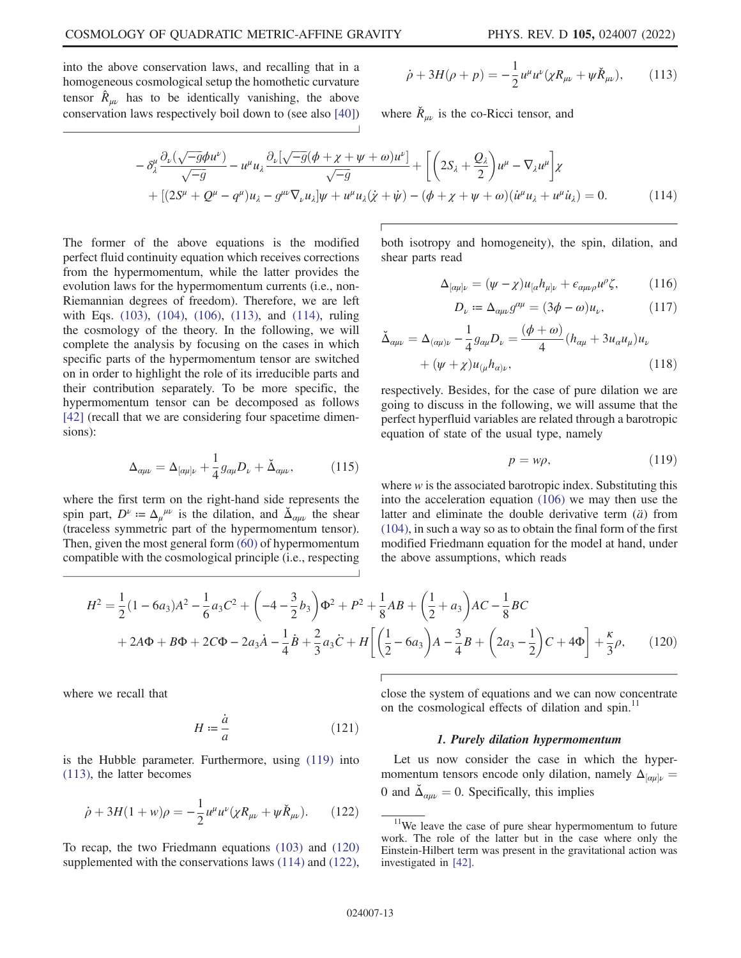into the above conservation laws, and recalling that in a homogeneous cosmological setup the homothetic curvature tensor  $\hat{R}_{\mu\nu}$  has to be identically vanishing, the above conservation laws respectively boil down to (see also [40])

$$
\dot{\rho} + 3H(\rho + p) = -\frac{1}{2}u^{\mu}u^{\nu}(\chi R_{\mu\nu} + \psi \check{R}_{\mu\nu}), \qquad (113)
$$

where  $\check{R}_{\mu\nu}$  is the co-Ricci tensor, and

$$
-\delta^{\mu}_{\lambda} \frac{\partial_{\nu}(\sqrt{-g}\phi u^{\nu})}{\sqrt{-g}} - u^{\mu} u_{\lambda} \frac{\partial_{\nu}[\sqrt{-g}(\phi + \chi + \psi + \omega)u^{\nu}]}{\sqrt{-g}} + \left[ \left( 2S_{\lambda} + \frac{Q_{\lambda}}{2} \right) u^{\mu} - \nabla_{\lambda} u^{\mu} \right] \chi + \left[ (2S^{\mu} + Q^{\mu} - q^{\mu})u_{\lambda} - g^{\mu\nu}\nabla_{\nu}u_{\lambda} \right] \psi + u^{\mu} u_{\lambda}(\dot{\chi} + \dot{\psi}) - (\phi + \chi + \psi + \omega)(\dot{u}^{\mu}u_{\lambda} + u^{\mu}\dot{u}_{\lambda}) = 0.
$$
 (114)

The former of the above equations is the modified perfect fluid continuity equation which receives corrections from the hypermomentum, while the latter provides the evolution laws for the hypermomentum currents (i.e., non-Riemannian degrees of freedom). Therefore, we are left with Eqs. (103), (104), (106), (113), and (114), ruling the cosmology of the theory. In the following, we will complete the analysis by focusing on the cases in which specific parts of the hypermomentum tensor are switched on in order to highlight the role of its irreducible parts and their contribution separately. To be more specific, the hypermomentum tensor can be decomposed as follows [42] (recall that we are considering four spacetime dimensions):

$$
\Delta_{\alpha\mu\nu} = \Delta_{[\alpha\mu]\nu} + \frac{1}{4} g_{\alpha\mu} D_{\nu} + \check{\Delta}_{\alpha\mu\nu}, \qquad (115)
$$

where the first term on the right-hand side represents the spin part,  $D^{\nu} = \Delta_{\mu}^{\mu\nu}$  is the dilation, and  $\Delta_{\alpha\mu\nu}$  the shear (traceless symmetric part of the hypermomentum tensor). Then, given the most general form (60) of hypermomentum compatible with the cosmological principle (i.e., respecting both isotropy and homogeneity), the spin, dilation, and shear parts read

$$
\Delta_{[\alpha\mu]\nu} = (\psi - \chi)u_{[\alpha}h_{\mu]\nu} + \epsilon_{\alpha\mu\nu\rho}u^{\rho}\zeta, \qquad (116)
$$

$$
D_{\nu} := \Delta_{\alpha\mu\nu} g^{\alpha\mu} = (3\phi - \omega) u_{\nu}, \qquad (117)
$$

$$
\check{\Delta}_{\alpha\mu\nu} = \Delta_{(\alpha\mu)\nu} - \frac{1}{4}g_{\alpha\mu}D_{\nu} = \frac{(\phi + \omega)}{4}(h_{\alpha\mu} + 3u_{\alpha}u_{\mu})u_{\nu} + (\psi + \chi)u_{(\mu}h_{\alpha)\nu},
$$
\n(118)

respectively. Besides, for the case of pure dilation we are going to discuss in the following, we will assume that the perfect hyperfluid variables are related through a barotropic equation of state of the usual type, namely

$$
p = w\rho, \tag{119}
$$

where  $w$  is the associated barotropic index. Substituting this into the acceleration equation (106) we may then use the latter and eliminate the double derivative term  $(\ddot{a})$  from (104), in such a way so as to obtain the final form of the first modified Friedmann equation for the model at hand, under the above assumptions, which reads

$$
H^{2} = \frac{1}{2} (1 - 6a_{3}) A^{2} - \frac{1}{6} a_{3} C^{2} + \left( -4 - \frac{3}{2} b_{3} \right) \Phi^{2} + P^{2} + \frac{1}{8} AB + \left( \frac{1}{2} + a_{3} \right) AC - \frac{1}{8} BC
$$
  
+ 2A\Phi + B\Phi + 2C\Phi - 2a\_{3}\dot{A} - \frac{1}{4}\dot{B} + \frac{2}{3}a\_{3}\dot{C} + H \left[ \left( \frac{1}{2} - 6a\_{3} \right) A - \frac{3}{4}B + \left( 2a\_{3} - \frac{1}{2} \right) C + 4\Phi \right] + \frac{\kappa}{3}\rho, (120)

where we recall that

$$
H \coloneqq \frac{\dot{a}}{a} \tag{121}
$$

is the Hubble parameter. Furthermore, using (119) into (113), the latter becomes

$$
\dot{\rho} + 3H(1+w)\rho = -\frac{1}{2}u^{\mu}u^{\nu}(\chi R_{\mu\nu} + \psi \check{R}_{\mu\nu}).
$$
 (122)

To recap, the two Friedmann equations (103) and (120) supplemented with the conservations laws (114) and (122), close the system of equations and we can now concentrate on the cosmological effects of dilation and spin.<sup>11</sup>

#### 1. Purely dilation hypermomentum

Let us now consider the case in which the hypermomentum tensors encode only dilation, namely  $\Delta_{\alpha\mu} = 0$  and  $\lambda_{\alpha} = 0$ . Sensifiedly, this invalues 0 and  $\tilde{\Delta}_{\alpha\mu\nu} = 0$ . Specifically, this implies

<sup>&</sup>lt;sup>11</sup>We leave the case of pure shear hypermomentum to future work. The role of the latter but in the case where only the Einstein-Hilbert term was present in the gravitational action was investigated in [42].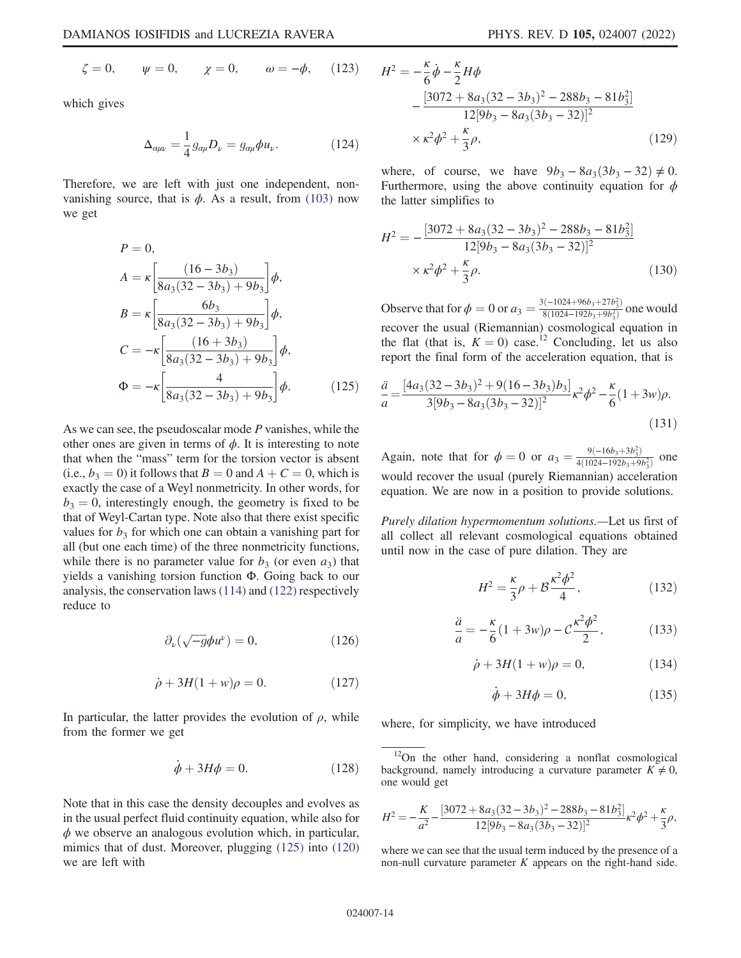$$
\zeta = 0,
$$
  $\psi = 0,$   $\chi = 0,$   $\omega = -\phi,$  (123)

which gives

$$
\Delta_{\alpha\mu\nu} = \frac{1}{4} g_{\alpha\mu} D_{\nu} = g_{\alpha\mu} \phi u_{\nu}.
$$
 (124)

Therefore, we are left with just one independent, nonvanishing source, that is  $\phi$ . As a result, from (103) now we get

$$
P = 0,
$$
  
\n
$$
A = \kappa \left[ \frac{(16 - 3b_3)}{8a_3(32 - 3b_3) + 9b_3} \right] \phi,
$$
  
\n
$$
B = \kappa \left[ \frac{6b_3}{8a_3(32 - 3b_3) + 9b_3} \right] \phi,
$$
  
\n
$$
C = -\kappa \left[ \frac{(16 + 3b_3)}{8a_3(32 - 3b_3) + 9b_3} \right] \phi,
$$
  
\n
$$
\Phi = -\kappa \left[ \frac{4}{8a_3(32 - 3b_3) + 9b_3} \right] \phi.
$$
\n(125)

As we can see, the pseudoscalar mode  $P$  vanishes, while the other ones are given in terms of  $\phi$ . It is interesting to note that when the "mass" term for the torsion vector is absent (i.e.,  $b_3 = 0$ ) it follows that  $B = 0$  and  $A + C = 0$ , which is exactly the case of a Weyl nonmetricity. In other words, for  $b_3 = 0$ , interestingly enough, the geometry is fixed to be that of Weyl-Cartan type. Note also that there exist specific values for  $b_3$  for which one can obtain a vanishing part for all (but one each time) of the three nonmetricity functions, while there is no parameter value for  $b_3$  (or even  $a_3$ ) that yields a vanishing torsion function Φ. Going back to our analysis, the conservation laws (114) and (122) respectively reduce to

$$
\partial_{\nu}(\sqrt{-g}\phi u^{\nu}) = 0, \qquad (126)
$$

$$
\dot{\rho} + 3H(1+w)\rho = 0. \tag{127}
$$

In particular, the latter provides the evolution of  $\rho$ , while from the former we get

$$
\dot{\phi} + 3H\phi = 0. \tag{128}
$$

Note that in this case the density decouples and evolves as in the usual perfect fluid continuity equation, while also for  $\phi$  we observe an analogous evolution which, in particular, mimics that of dust. Moreover, plugging (125) into (120) we are left with

$$
H^{2} = -\frac{\kappa}{6} \dot{\phi} - \frac{\kappa}{2} H \phi
$$
  
 
$$
- \frac{[3072 + 8a_{3}(32 - 3b_{3})^{2} - 288b_{3} - 81b_{3}^{2}]}{12[9b_{3} - 8a_{3}(3b_{3} - 32)]^{2}}
$$
  
 
$$
\times \kappa^{2} \phi^{2} + \frac{\kappa}{3} \rho,
$$
 (129)

where, of course, we have  $9b_3 - 8a_3(3b_3 - 32) \neq 0$ . Furthermore, using the above continuity equation for  $\phi$ the latter simplifies to

$$
H^{2} = -\frac{[3072 + 8a_{3}(32 - 3b_{3})^{2} - 288b_{3} - 81b_{3}^{2}]}{12[9b_{3} - 8a_{3}(3b_{3} - 32)]^{2}} \times \kappa^{2} \phi^{2} + \frac{\kappa}{3} \rho.
$$
 (130)

Observe that for  $\phi = 0$  or  $a_3 = \frac{3(-1024+96b_3+27b_3^2)}{8(1024-192b_3+9b_3^2)}$  one would recover the usual (Riemannian) cosmological equation in the flat (that is,  $K = 0$ ) case.<sup>12</sup> Concluding, let us also report the final form of the acceleration equation, that is

$$
\frac{\ddot{a}}{a} = \frac{[4a_3(32 - 3b_3)^2 + 9(16 - 3b_3)b_3]}{3[9b_3 - 8a_3(3b_3 - 32)]^2} \kappa^2 \phi^2 - \frac{\kappa}{6} (1 + 3w)\rho.
$$
\n(131)

Again, note that for  $\phi = 0$  or  $a_3 = \frac{9(-16b_3+3b_3^2)}{4(1024-192b_3+9b_3^2)}$  one would recover the usual (purely Riemannian) acceleration equation. We are now in a position to provide solutions.

Purely dilation hypermomentum solutions.—Let us first of all collect all relevant cosmological equations obtained until now in the case of pure dilation. They are

$$
H^2 = \frac{\kappa}{3}\rho + \mathcal{B}\frac{\kappa^2 \phi^2}{4},\tag{132}
$$

$$
\frac{\ddot{a}}{a} = -\frac{\kappa}{6}(1+3w)\rho - C\frac{\kappa^2 \phi^2}{2},
$$
 (133)

$$
\dot{\rho} + 3H(1+w)\rho = 0, \tag{134}
$$

$$
\dot{\phi} + 3H\phi = 0,\t(135)
$$

where, for simplicity, we have introduced

$$
H^{2} = -\frac{K}{a^{2}} - \frac{[3072 + 8a_{3}(32 - 3b_{3})^{2} - 288b_{3} - 81b_{3}^{2}]}{12[9b_{3} - 8a_{3}(3b_{3} - 32)]^{2}} \kappa^{2} \phi^{2} + \frac{\kappa}{3} \rho,
$$

where we can see that the usual term induced by the presence of a non-null curvature parameter  $K$  appears on the right-hand side.

<sup>&</sup>lt;sup>12</sup>On the other hand, considering a nonflat cosmological background, namely introducing a curvature parameter  $K \neq 0$ , one would get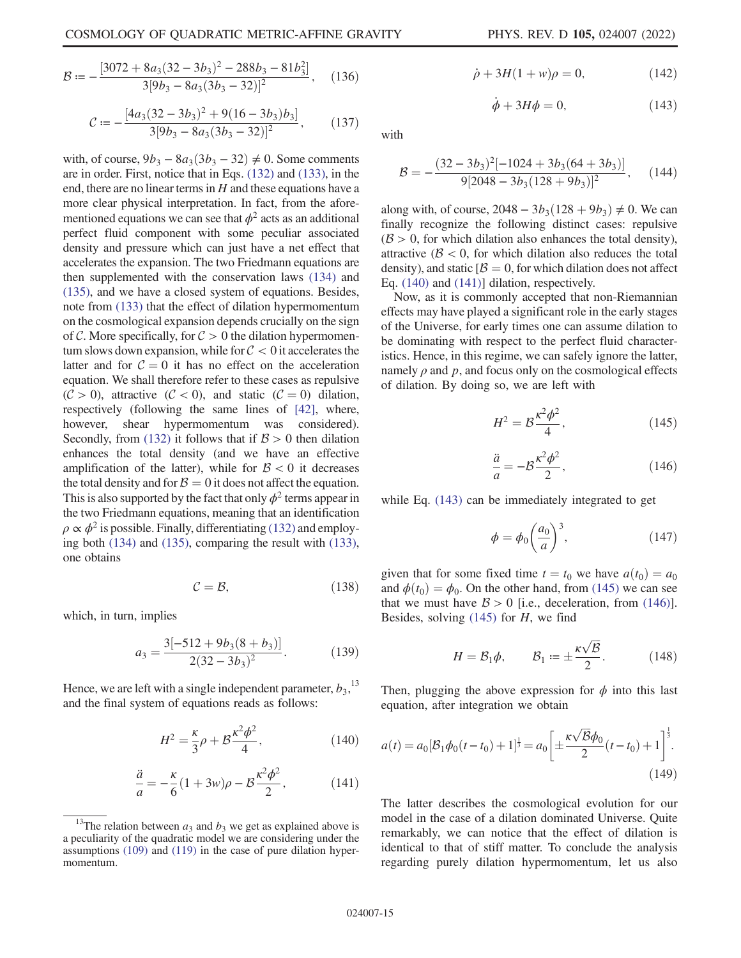$$
\mathcal{B} = -\frac{[3072 + 8a_3(32 - 3b_3)^2 - 288b_3 - 81b_3^2]}{3[9b_3 - 8a_3(3b_3 - 32)]^2},
$$
 (136)

$$
C := -\frac{[4a_3(32 - 3b_3)^2 + 9(16 - 3b_3)b_3]}{3[9b_3 - 8a_3(3b_3 - 32)]^2},
$$
 (137)

with, of course,  $9b_3 - 8a_3(3b_3 - 32) \neq 0$ . Some comments are in order. First, notice that in Eqs. (132) and (133), in the end, there are no linear terms in  $H$  and these equations have a more clear physical interpretation. In fact, from the aforementioned equations we can see that  $\phi^2$  acts as an additional perfect fluid component with some peculiar associated density and pressure which can just have a net effect that accelerates the expansion. The two Friedmann equations are then supplemented with the conservation laws (134) and (135), and we have a closed system of equations. Besides, note from (133) that the effect of dilation hypermomentum on the cosmological expansion depends crucially on the sign of C. More specifically, for  $C > 0$  the dilation hypermomentum slows down expansion, while for  $C < 0$  it accelerates the latter and for  $C = 0$  it has no effect on the acceleration equation. We shall therefore refer to these cases as repulsive  $(C > 0)$ , attractive  $(C < 0)$ , and static  $(C = 0)$  dilation, respectively (following the same lines of [42], where, however, shear hypermomentum was considered). Secondly, from (132) it follows that if  $\beta > 0$  then dilation enhances the total density (and we have an effective amplification of the latter), while for  $\beta < 0$  it decreases the total density and for  $\beta = 0$  it does not affect the equation. This is also supported by the fact that only  $\phi^2$  terms appear in the two Friedmann equations, meaning that an identification  $\rho \propto \phi^2$  is possible. Finally, differentiating (132) and employing both (134) and (135), comparing the result with (133), one obtains

$$
C = B,\t(138)
$$

which, in turn, implies

$$
a_3 = \frac{3[-512 + 9b_3(8 + b_3)]}{2(32 - 3b_3)^2}.
$$
 (139)

Hence, we are left with a single independent parameter,  $b_3$ ,  $13$ and the final system of equations reads as follows:

$$
H^{2} = \frac{\kappa}{3}\rho + \mathcal{B}\frac{\kappa^{2}\phi^{2}}{4},
$$
 (140)

$$
\frac{\ddot{a}}{a} = -\frac{\kappa}{6}(1+3w)\rho - \mathcal{B}\frac{\kappa^2\phi^2}{2},\tag{141}
$$

$$
\dot{\rho} + 3H(1+w)\rho = 0, \tag{142}
$$

$$
\dot{\phi} + 3H\phi = 0,\t(143)
$$

with

$$
\mathcal{B} = -\frac{(32 - 3b_3)^2 [-1024 + 3b_3(64 + 3b_3)]}{9[2048 - 3b_3(128 + 9b_3)]^2},
$$
 (144)

along with, of course,  $2048 - 3b_3(128 + 9b_3) \neq 0$ . We can finally recognize the following distinct cases: repulsive  $(\beta > 0)$ , for which dilation also enhances the total density), attractive ( $\beta$  < 0, for which dilation also reduces the total density), and static  $\beta = 0$ , for which dilation does not affect Eq. (140) and (141)] dilation, respectively.

Now, as it is commonly accepted that non-Riemannian effects may have played a significant role in the early stages of the Universe, for early times one can assume dilation to be dominating with respect to the perfect fluid characteristics. Hence, in this regime, we can safely ignore the latter, namely  $\rho$  and  $p$ , and focus only on the cosmological effects of dilation. By doing so, we are left with

$$
H^2 = \mathcal{B}\frac{\kappa^2 \phi^2}{4},\qquad(145)
$$

$$
\frac{\ddot{a}}{a} = -\mathcal{B}\frac{\kappa^2 \phi^2}{2},\tag{146}
$$

while Eq. (143) can be immediately integrated to get

$$
\phi = \phi_0 \left(\frac{a_0}{a}\right)^3, \tag{147}
$$

given that for some fixed time  $t = t_0$  we have  $a(t_0) = a_0$ and  $\phi(t_0) = \phi_0$ . On the other hand, from (145) we can see that we must have  $\beta > 0$  [i.e., deceleration, from (146)]. Besides, solving  $(145)$  for H, we find

$$
H = \mathcal{B}_1 \phi, \qquad \mathcal{B}_1 := \pm \frac{\kappa \sqrt{\mathcal{B}}}{2}.
$$
 (148)

Then, plugging the above expression for  $\phi$  into this last equation, after integration we obtain

$$
a(t) = a_0 \left[\mathcal{B}_1 \phi_0(t - t_0) + 1\right]^{\frac{1}{3}} = a_0 \left[\pm \frac{\kappa \sqrt{\mathcal{B}} \phi_0}{2} (t - t_0) + 1\right]^{\frac{1}{3}}.
$$
\n(149)

The latter describes the cosmological evolution for our model in the case of a dilation dominated Universe. Quite remarkably, we can notice that the effect of dilation is identical to that of stiff matter. To conclude the analysis regarding purely dilation hypermomentum, let us also

<sup>&</sup>lt;sup>13</sup>The relation between  $a_3$  and  $b_3$  we get as explained above is a peculiarity of the quadratic model we are considering under the assumptions (109) and (119) in the case of pure dilation hypermomentum.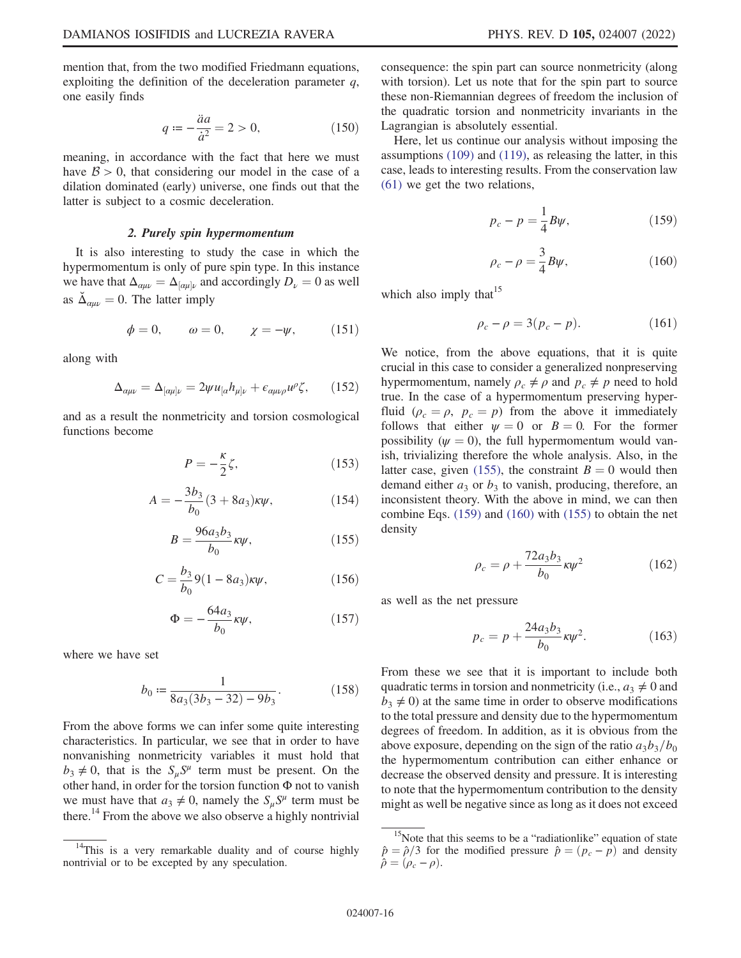mention that, from the two modified Friedmann equations, exploiting the definition of the deceleration parameter  $q$ , one easily finds

$$
q := -\frac{\ddot{a}a}{\dot{a}^2} = 2 > 0,\tag{150}
$$

meaning, in accordance with the fact that here we must have  $\beta > 0$ , that considering our model in the case of a dilation dominated (early) universe, one finds out that the latter is subject to a cosmic deceleration.

## 2. Purely spin hypermomentum

It is also interesting to study the case in which the hypermomentum is only of pure spin type. In this instance we have that  $\Delta_{\alpha\mu\nu} = \Delta_{[\alpha\mu]\nu}$  and accordingly  $D_{\nu} = 0$  as well as  $\bar{\Delta}_{\alpha\mu\nu} = 0$ . The latter imply

$$
\phi = 0, \qquad \omega = 0, \qquad \chi = -\psi, \tag{151}
$$

along with

$$
\Delta_{\alpha\mu\nu} = \Delta_{[\alpha\mu]\nu} = 2\psi u_{[\alpha} h_{\mu]\nu} + \epsilon_{\alpha\mu\nu\rho} u^{\rho} \zeta, \qquad (152)
$$

and as a result the nonmetricity and torsion cosmological functions become

$$
P = -\frac{\kappa}{2}\zeta,\tag{153}
$$

$$
A = -\frac{3b_3}{b_0} (3 + 8a_3)\kappa \psi, \tag{154}
$$

$$
B = \frac{96a_3b_3}{b_0}\kappa\psi,\tag{155}
$$

$$
C = \frac{b_3}{b_0} 9(1 - 8a_3)\kappa \psi, \tag{156}
$$

$$
\Phi = -\frac{64a_3}{b_0}\kappa\psi,\tag{157}
$$

where we have set

$$
b_0 := \frac{1}{8a_3(3b_3 - 32) - 9b_3}.\tag{158}
$$

From the above forms we can infer some quite interesting characteristics. In particular, we see that in order to have nonvanishing nonmetricity variables it must hold that  $b_3 \neq 0$ , that is the  $S_\mu S^\mu$  term must be present. On the other hand, in order for the torsion function Φ not to vanish we must have that  $a_3 \neq 0$ , namely the  $S_\mu S^\mu$  term must be there.<sup>14</sup> From the above we also observe a highly nontrivial consequence: the spin part can source nonmetricity (along with torsion). Let us note that for the spin part to source these non-Riemannian degrees of freedom the inclusion of the quadratic torsion and nonmetricity invariants in the Lagrangian is absolutely essential.

Here, let us continue our analysis without imposing the assumptions (109) and (119), as releasing the latter, in this case, leads to interesting results. From the conservation law (61) we get the two relations,

$$
p_c - p = \frac{1}{4} B \psi, \qquad (159)
$$

$$
\rho_c - \rho = \frac{3}{4} B \psi,\tag{160}
$$

which also imply that  $15$ 

$$
\rho_c - \rho = 3(p_c - p). \tag{161}
$$

We notice, from the above equations, that it is quite crucial in this case to consider a generalized nonpreserving hypermomentum, namely  $\rho_c \neq \rho$  and  $p_c \neq p$  need to hold true. In the case of a hypermomentum preserving hyperfluid ( $\rho_c = \rho$ ,  $p_c = p$ ) from the above it immediately follows that either  $\psi = 0$  or  $B = 0$ . For the former possibility ( $\psi = 0$ ), the full hypermomentum would vanish, trivializing therefore the whole analysis. Also, in the latter case, given (155), the constraint  $B = 0$  would then demand either  $a_3$  or  $b_3$  to vanish, producing, therefore, an inconsistent theory. With the above in mind, we can then combine Eqs. (159) and (160) with (155) to obtain the net density

$$
\rho_c = \rho + \frac{72a_3b_3}{b_0}\kappa\psi^2
$$
 (162)

as well as the net pressure

$$
p_c = p + \frac{24a_3b_3}{b_0}\kappa\psi^2.
$$
 (163)

From these we see that it is important to include both quadratic terms in torsion and nonmetricity (i.e.,  $a_3 \neq 0$  and  $b_3 \neq 0$ ) at the same time in order to observe modifications to the total pressure and density due to the hypermomentum degrees of freedom. In addition, as it is obvious from the above exposure, depending on the sign of the ratio  $a_3b_3/b_0$ the hypermomentum contribution can either enhance or decrease the observed density and pressure. It is interesting to note that the hypermomentum contribution to the density might as well be negative since as long as it does not exceed

<sup>&</sup>lt;sup>14</sup>This is a very remarkable duality and of course highly nontrivial or to be excepted by any speculation.

<sup>&</sup>lt;sup>15</sup>Note that this seems to be a "radiationlike" equation of state  $\hat{p} = \hat{p}/3$  for the modified pressure  $\hat{p} = (p_c - \hat{p})$  and density  $\hat{\rho} = (\rho_c - \rho).$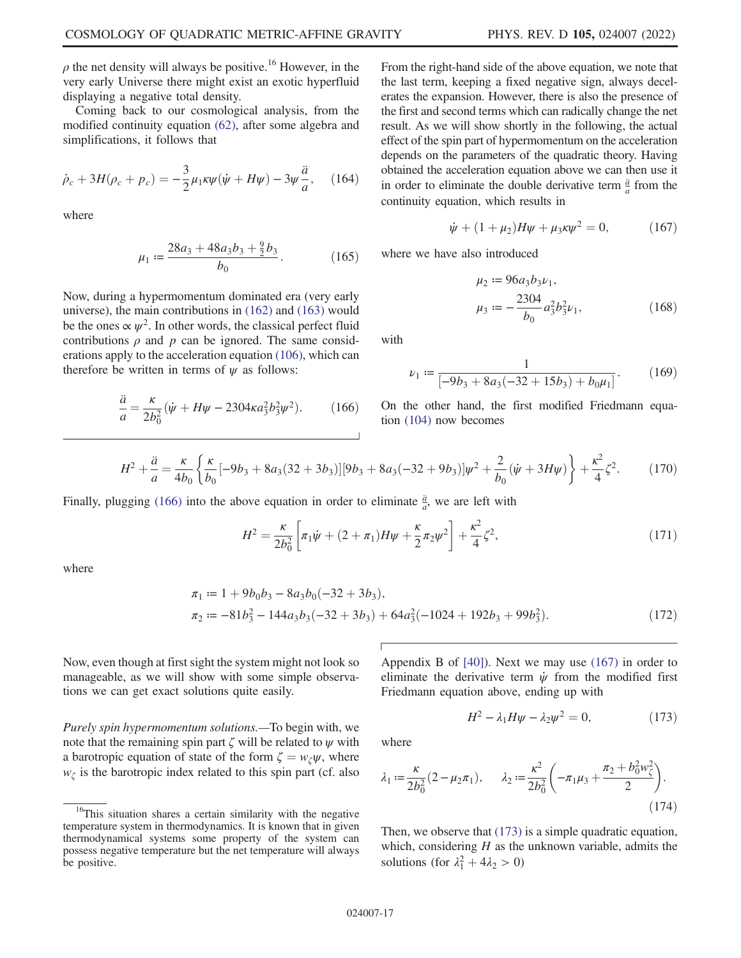$\rho$  the net density will always be positive.<sup>16</sup> However, in the very early Universe there might exist an exotic hyperfluid displaying a negative total density.

Coming back to our cosmological analysis, from the modified continuity equation (62), after some algebra and simplifications, it follows that

$$
\dot{\rho}_c + 3H(\rho_c + p_c) = -\frac{3}{2}\mu_1 \kappa \psi(\dot{\psi} + H\psi) - 3\psi \frac{\ddot{a}}{a}, \quad (164)
$$

where

$$
\mu_1 := \frac{28a_3 + 48a_3b_3 + \frac{9}{2}b_3}{b_0}.
$$
 (165)

Now, during a hypermomentum dominated era (very early universe), the main contributions in (162) and (163) would be the ones  $\propto \psi^2$ . In other words, the classical perfect fluid contributions  $\rho$  and  $p$  can be ignored. The same considerations apply to the acceleration equation (106), which can therefore be written in terms of  $\psi$  as follows:

$$
\frac{\ddot{a}}{a} = \frac{\kappa}{2b_0^2} (\dot{\psi} + H\psi - 2304\kappa a_3^2 b_3^2 \psi^2). \tag{166}
$$

From the right-hand side of the above equation, we note that the last term, keeping a fixed negative sign, always decelerates the expansion. However, there is also the presence of the first and second terms which can radically change the net result. As we will show shortly in the following, the actual effect of the spin part of hypermomentum on the acceleration depends on the parameters of the quadratic theory. Having obtained the acceleration equation above we can then use it in order to eliminate the double derivative term  $\frac{\ddot{a}}{a}$  from the continuity equation, which results in

$$
\dot{\psi} + (1 + \mu_2)H\psi + \mu_3 \kappa \psi^2 = 0, \qquad (167)
$$

where we have also introduced

$$
\mu_2 := 96a_3b_3\nu_1,\n\mu_3 := -\frac{2304}{b_0}a_3^2b_3^2\nu_1,
$$
\n(168)

with

$$
\nu_1 := \frac{1}{[-9b_3 + 8a_3(-32 + 15b_3) + b_0\mu_1]}.\tag{169}
$$

On the other hand, the first modified Friedmann equation (104) now becomes

$$
H^2 + \frac{\ddot{a}}{a} = \frac{\kappa}{4b_0} \left\{ \frac{\kappa}{b_0} [-9b_3 + 8a_3(32 + 3b_3)] [9b_3 + 8a_3(-32 + 9b_3)] \psi^2 + \frac{2}{b_0} (\dot{\psi} + 3H\psi) \right\} + \frac{\kappa^2}{4} \zeta^2.
$$
 (170)

Finally, plugging (166) into the above equation in order to eliminate  $\frac{\ddot{a}}{a}$ , we are left with

$$
H^{2} = \frac{\kappa}{2b_{0}^{2}} \left[ \pi_{1}\dot{\psi} + (2+\pi_{1})H\psi + \frac{\kappa}{2}\pi_{2}\psi^{2} \right] + \frac{\kappa^{2}}{4}\zeta^{2}, \tag{171}
$$

where

$$
\pi_1 := 1 + 9b_0b_3 - 8a_3b_0(-32 + 3b_3),
$$
  
\n
$$
\pi_2 := -81b_3^2 - 144a_3b_3(-32 + 3b_3) + 64a_3^2(-1024 + 192b_3 + 99b_3^2).
$$
\n(172)

Now, even though at first sight the system might not look so manageable, as we will show with some simple observations we can get exact solutions quite easily.

Purely spin hypermomentum solutions.—To begin with, we note that the remaining spin part  $\zeta$  will be related to  $\psi$  with a barotropic equation of state of the form  $\zeta = w_{\zeta}\psi$ , where  $w_{\zeta}$  is the barotropic index related to this spin part (cf. also Appendix B of [40]). Next we may use (167) in order to eliminate the derivative term  $\dot{\psi}$  from the modified first Friedmann equation above, ending up with

$$
H^2 - \lambda_1 H \psi - \lambda_2 \psi^2 = 0, \qquad (173)
$$

where

$$
\lambda_1 := \frac{\kappa}{2b_0^2} (2 - \mu_2 \pi_1), \qquad \lambda_2 := \frac{\kappa^2}{2b_0^2} \left( -\pi_1 \mu_3 + \frac{\pi_2 + b_0^2 w_\zeta^2}{2} \right). \tag{174}
$$

Then, we observe that (173) is a simple quadratic equation, which, considering  $H$  as the unknown variable, admits the solutions (for  $\lambda_1^2 + 4\lambda_2 > 0$ )

<sup>&</sup>lt;sup>16</sup>This situation shares a certain similarity with the negative temperature system in thermodynamics. It is known that in given thermodynamical systems some property of the system can possess negative temperature but the net temperature will always be positive.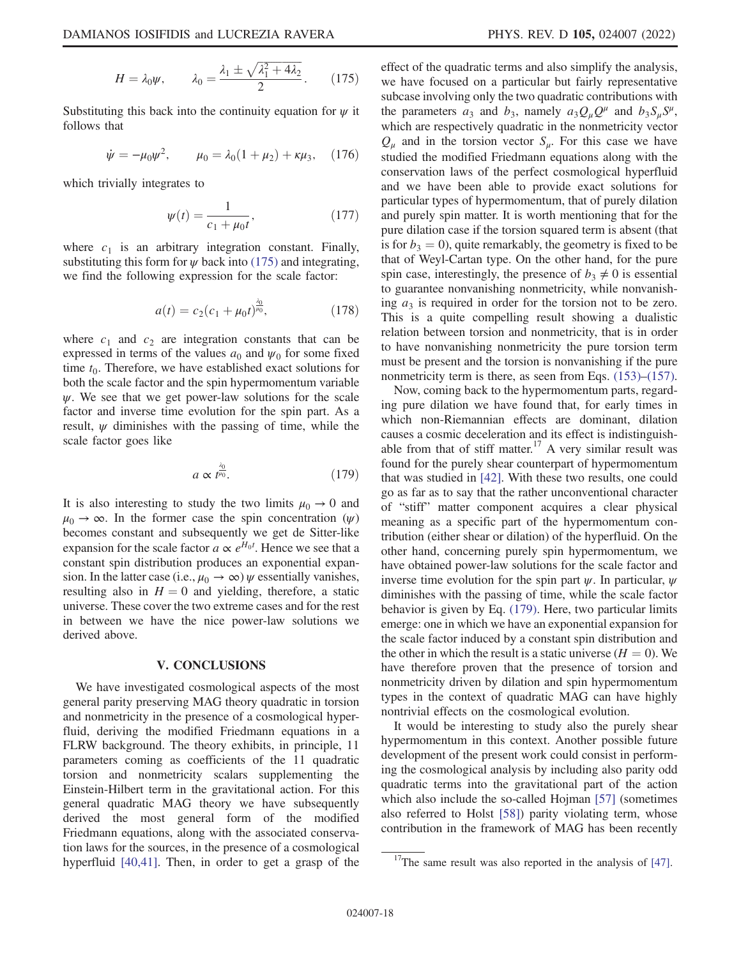Substituting this back into the continuity equation for  $\psi$  it follows that

$$
\dot{\psi} = -\mu_0 \psi^2
$$
,  $\mu_0 = \lambda_0 (1 + \mu_2) + \kappa \mu_3$ , (176)

which trivially integrates to

$$
\psi(t) = \frac{1}{c_1 + \mu_0 t},\tag{177}
$$

where  $c_1$  is an arbitrary integration constant. Finally, substituting this form for  $\psi$  back into (175) and integrating, we find the following expression for the scale factor:

$$
a(t) = c_2(c_1 + \mu_0 t)^{\frac{\lambda_0}{\mu_0}}, \tag{178}
$$

where  $c_1$  and  $c_2$  are integration constants that can be expressed in terms of the values  $a_0$  and  $\psi_0$  for some fixed time  $t_0$ . Therefore, we have established exact solutions for both the scale factor and the spin hypermomentum variable  $\psi$ . We see that we get power-law solutions for the scale factor and inverse time evolution for the spin part. As a result,  $\psi$  diminishes with the passing of time, while the scale factor goes like

$$
a \propto t^{\frac{\lambda_0}{\mu_0}}.\tag{179}
$$

It is also interesting to study the two limits  $\mu_0 \rightarrow 0$  and  $\mu_0 \rightarrow \infty$ . In the former case the spin concentration  $(\psi)$ becomes constant and subsequently we get de Sitter-like expansion for the scale factor  $a \propto e^{H_0 t}$ . Hence we see that a constant spin distribution produces an exponential expansion. In the latter case (i.e.,  $\mu_0 \rightarrow \infty$ )  $\psi$  essentially vanishes, resulting also in  $H = 0$  and yielding, therefore, a static universe. These cover the two extreme cases and for the rest in between we have the nice power-law solutions we derived above.

## V. CONCLUSIONS

We have investigated cosmological aspects of the most general parity preserving MAG theory quadratic in torsion and nonmetricity in the presence of a cosmological hyperfluid, deriving the modified Friedmann equations in a FLRW background. The theory exhibits, in principle, 11 parameters coming as coefficients of the 11 quadratic torsion and nonmetricity scalars supplementing the Einstein-Hilbert term in the gravitational action. For this general quadratic MAG theory we have subsequently derived the most general form of the modified Friedmann equations, along with the associated conservation laws for the sources, in the presence of a cosmological hyperfluid [40,41]. Then, in order to get a grasp of the effect of the quadratic terms and also simplify the analysis, we have focused on a particular but fairly representative subcase involving only the two quadratic contributions with the parameters  $a_3$  and  $b_3$ , namely  $a_3Q_\mu Q^\mu$  and  $b_3S_\mu S^\mu$ , which are respectively quadratic in the nonmetricity vector  $Q_u$  and in the torsion vector  $S_u$ . For this case we have studied the modified Friedmann equations along with the conservation laws of the perfect cosmological hyperfluid and we have been able to provide exact solutions for particular types of hypermomentum, that of purely dilation and purely spin matter. It is worth mentioning that for the pure dilation case if the torsion squared term is absent (that is for  $b_3 = 0$ , quite remarkably, the geometry is fixed to be that of Weyl-Cartan type. On the other hand, for the pure spin case, interestingly, the presence of  $b_3 \neq 0$  is essential to guarantee nonvanishing nonmetricity, while nonvanishing  $a_3$  is required in order for the torsion not to be zero. This is a quite compelling result showing a dualistic relation between torsion and nonmetricity, that is in order to have nonvanishing nonmetricity the pure torsion term must be present and the torsion is nonvanishing if the pure nonmetricity term is there, as seen from Eqs. (153)–(157).

Now, coming back to the hypermomentum parts, regarding pure dilation we have found that, for early times in which non-Riemannian effects are dominant, dilation causes a cosmic deceleration and its effect is indistinguishable from that of stiff matter.<sup>17</sup> A very similar result was found for the purely shear counterpart of hypermomentum that was studied in [42]. With these two results, one could go as far as to say that the rather unconventional character of "stiff" matter component acquires a clear physical meaning as a specific part of the hypermomentum contribution (either shear or dilation) of the hyperfluid. On the other hand, concerning purely spin hypermomentum, we have obtained power-law solutions for the scale factor and inverse time evolution for the spin part  $\psi$ . In particular,  $\psi$ diminishes with the passing of time, while the scale factor behavior is given by Eq. (179). Here, two particular limits emerge: one in which we have an exponential expansion for the scale factor induced by a constant spin distribution and the other in which the result is a static universe  $(H = 0)$ . We have therefore proven that the presence of torsion and nonmetricity driven by dilation and spin hypermomentum types in the context of quadratic MAG can have highly nontrivial effects on the cosmological evolution.

It would be interesting to study also the purely shear hypermomentum in this context. Another possible future development of the present work could consist in performing the cosmological analysis by including also parity odd quadratic terms into the gravitational part of the action which also include the so-called Hojman [57] (sometimes also referred to Holst [58]) parity violating term, whose contribution in the framework of MAG has been recently

 $17$ The same result was also reported in the analysis of [47].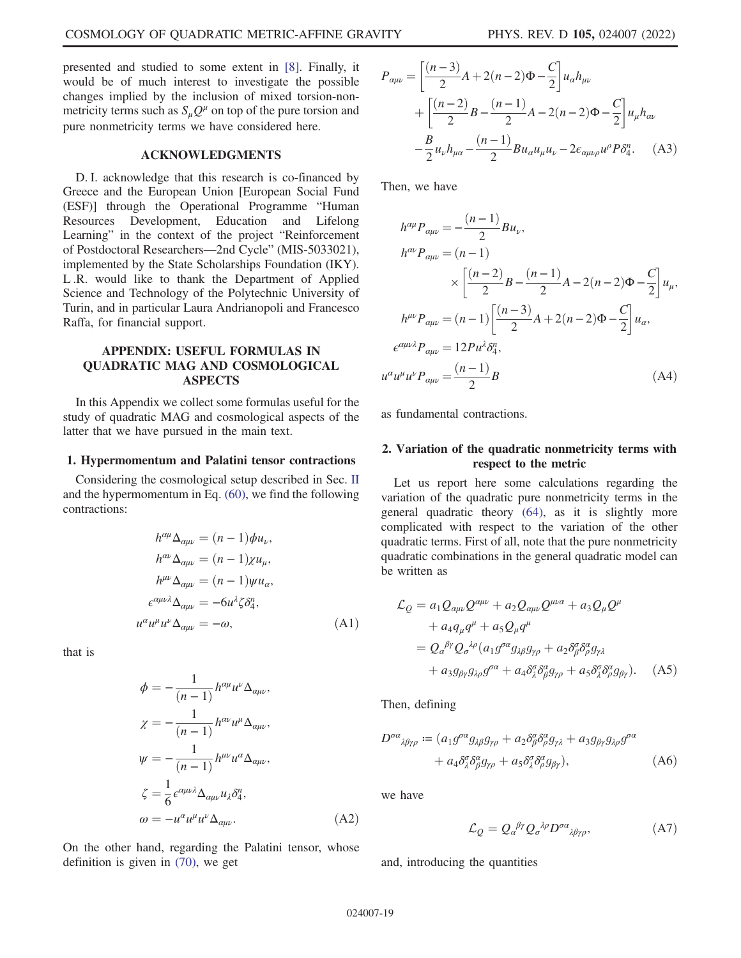presented and studied to some extent in [8]. Finally, it would be of much interest to investigate the possible changes implied by the inclusion of mixed torsion-nonmetricity terms such as  $S_{\mu}Q^{\mu}$  on top of the pure torsion and pure nonmetricity terms we have considered here.

## ACKNOWLEDGMENTS

D. I. acknowledge that this research is co-financed by Greece and the European Union [European Social Fund (ESF)] through the Operational Programme "Human Resources Development, Education and Lifelong Learning" in the context of the project "Reinforcement of Postdoctoral Researchers—2nd Cycle" (MIS-5033021), implemented by the State Scholarships Foundation (IKY). L .R. would like to thank the Department of Applied Science and Technology of the Polytechnic University of Turin, and in particular Laura Andrianopoli and Francesco Raffa, for financial support.

# APPENDIX: USEFUL FORMULAS IN QUADRATIC MAG AND COSMOLOGICAL ASPECTS

In this Appendix we collect some formulas useful for the study of quadratic MAG and cosmological aspects of the latter that we have pursued in the main text.

### 1. Hypermomentum and Palatini tensor contractions

Considering the cosmological setup described in Sec. II and the hypermomentum in Eq. (60), we find the following contractions:

$$
h^{\alpha\mu}\Delta_{\alpha\mu\nu} = (n-1)\phi u_{\nu},
$$
  
\n
$$
h^{\alpha\nu}\Delta_{\alpha\mu\nu} = (n-1)\chi u_{\mu},
$$
  
\n
$$
h^{\mu\nu}\Delta_{\alpha\mu\nu} = (n-1)\psi u_{\alpha},
$$
  
\n
$$
\epsilon^{\alpha\mu\nu\lambda}\Delta_{\alpha\mu\nu} = -6u^{\lambda}\zeta\delta_{4}^{n},
$$
  
\n
$$
u^{\alpha}u^{\mu}u^{\nu}\Delta_{\alpha\mu\nu} = -\omega,
$$
\n(A1)

that is

$$
\phi = -\frac{1}{(n-1)} h^{\alpha\mu} u^{\nu} \Delta_{\alpha\mu\nu},
$$
  
\n
$$
\chi = -\frac{1}{(n-1)} h^{\alpha\nu} u^{\mu} \Delta_{\alpha\mu\nu},
$$
  
\n
$$
\psi = -\frac{1}{(n-1)} h^{\mu\nu} u^{\alpha} \Delta_{\alpha\mu\nu},
$$
  
\n
$$
\zeta = \frac{1}{6} \epsilon^{\alpha\mu\nu\lambda} \Delta_{\alpha\mu\nu} u_{\lambda} \delta_{4}^{n},
$$
  
\n
$$
\omega = -u^{\alpha} u^{\mu} u^{\nu} \Delta_{\alpha\mu\nu}.
$$
 (A2)

On the other hand, regarding the Palatini tensor, whose definition is given in (70), we get

$$
P_{\alpha\mu\nu} = \left[\frac{(n-3)}{2}A + 2(n-2)\Phi - \frac{C}{2}\right]u_{\alpha}h_{\mu\nu} + \left[\frac{(n-2)}{2}B - \frac{(n-1)}{2}A - 2(n-2)\Phi - \frac{C}{2}\right]u_{\mu}h_{\alpha\nu} - \frac{B}{2}u_{\nu}h_{\mu\alpha} - \frac{(n-1)}{2}Bu_{\alpha}u_{\mu}u_{\nu} - 2\epsilon_{\alpha\mu\nu\rho}u^{\rho}P\delta_{4}^{n}.
$$
 (A3)

Then, we have

$$
h^{\alpha\mu}P_{\alpha\mu\nu} = -\frac{(n-1)}{2}Bu_{\nu},
$$
  
\n
$$
h^{\alpha\nu}P_{\alpha\mu\nu} = (n-1)
$$
  
\n
$$
\times \left[ \frac{(n-2)}{2}B - \frac{(n-1)}{2}A - 2(n-2)\Phi - \frac{C}{2} \right]u_{\mu},
$$
  
\n
$$
h^{\mu\nu}P_{\alpha\mu\nu} = (n-1)\left[ \frac{(n-3)}{2}A + 2(n-2)\Phi - \frac{C}{2} \right]u_{\alpha},
$$
  
\n
$$
\epsilon^{\alpha\mu\nu\lambda}P_{\alpha\mu\nu} = 12Pu^{\lambda}\delta_{4}^{n},
$$
  
\n
$$
u^{\alpha}u^{\mu}u^{\nu}P_{\alpha\mu\nu} = \frac{(n-1)}{2}B
$$
 (A4)

as fundamental contractions.

## 2. Variation of the quadratic nonmetricity terms with respect to the metric

Let us report here some calculations regarding the variation of the quadratic pure nonmetricity terms in the general quadratic theory (64), as it is slightly more complicated with respect to the variation of the other quadratic terms. First of all, note that the pure nonmetricity quadratic combinations in the general quadratic model can be written as

$$
\mathcal{L}_{Q} = a_1 Q_{\alpha\mu\nu} Q^{\alpha\mu\nu} + a_2 Q_{\alpha\mu\nu} Q^{\mu\nu\alpha} + a_3 Q_{\mu} Q^{\mu}
$$
  
+ 
$$
a_4 q_{\mu} q^{\mu} + a_5 Q_{\mu} q^{\mu}
$$
  
= 
$$
Q_{\alpha}{}^{\beta\gamma} Q_{\sigma}{}^{\lambda\rho} (a_1 g^{\sigma\alpha} g_{\lambda\beta} g_{\gamma\rho} + a_2 \delta^{\sigma}_{\beta} \delta^{\alpha}_{\rho} g_{\gamma\lambda}
$$
  
+ 
$$
a_3 g_{\beta\gamma} g_{\lambda\rho} g^{\sigma\alpha} + a_4 \delta^{\sigma}_{\lambda} \delta^{\alpha}_{\beta} g_{\gamma\rho} + a_5 \delta^{\sigma}_{\lambda} \delta^{\alpha}_{\rho} g_{\beta\gamma}).
$$
 (A5)

Then, defining

$$
D^{\sigma\alpha}{}_{\lambda\beta\gamma\rho} := (a_1 g^{\sigma\alpha} g_{\lambda\beta} g_{\gamma\rho} + a_2 \delta^{\sigma}_{\beta} \delta^{\alpha}_{\rho} g_{\gamma\lambda} + a_3 g_{\beta\gamma} g_{\lambda\rho} g^{\sigma\alpha} + a_4 \delta^{\sigma}_{\lambda} \delta^{\alpha}_{\beta} g_{\gamma\rho} + a_5 \delta^{\sigma}_{\lambda} \delta^{\alpha}_{\rho} g_{\beta\gamma}),
$$
 (A6)

we have

$$
\mathcal{L}_{Q} = Q_{\alpha}{}^{\beta \gamma} Q_{\sigma}{}^{\lambda \rho} D^{\sigma \alpha}{}_{\lambda \beta \gamma \rho}, \tag{A7}
$$

and, introducing the quantities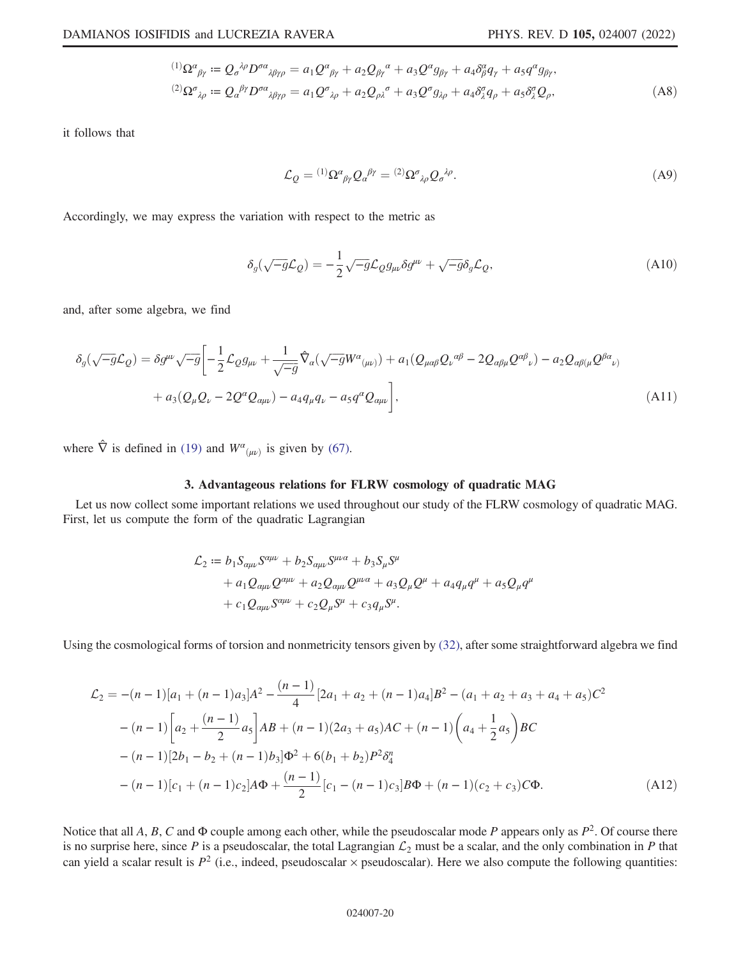$$
{}^{(1)}\Omega^{\alpha}{}_{\beta\gamma} := Q_{\sigma}{}^{\lambda\rho}D^{\sigma\alpha}{}_{\lambda\beta\gamma\rho} = a_1 Q^{\alpha}{}_{\beta\gamma} + a_2 Q_{\beta\gamma}{}^{\alpha} + a_3 Q^{\alpha} g_{\beta\gamma} + a_4 \delta^{\alpha}_{\beta} q_{\gamma} + a_5 q^{\alpha} g_{\beta\gamma},
$$
  

$$
{}^{(2)}\Omega^{\sigma}{}_{\lambda\rho} := Q_{\alpha}{}^{\beta\gamma}D^{\sigma\alpha}{}_{\lambda\beta\gamma\rho} = a_1 Q^{\sigma}{}_{\lambda\rho} + a_2 Q_{\rho\lambda}{}^{\sigma} + a_3 Q^{\sigma} g_{\lambda\rho} + a_4 \delta^{\sigma}_{\lambda} q_{\rho} + a_5 \delta^{\sigma}_{\lambda} Q_{\rho},
$$
 (A8)

it follows that

$$
\mathcal{L}_{Q} = {}^{(1)}\Omega^{\alpha}{}_{\beta\gamma}Q_{\alpha}{}^{\beta\gamma} = {}^{(2)}\Omega^{\sigma}{}_{\lambda\rho}Q_{\sigma}{}^{\lambda\rho}.
$$
\n(A9)

Accordingly, we may express the variation with respect to the metric as

$$
\delta_g(\sqrt{-g}\mathcal{L}_Q) = -\frac{1}{2}\sqrt{-g}\mathcal{L}_Q g_{\mu\nu}\delta g^{\mu\nu} + \sqrt{-g}\delta_g \mathcal{L}_Q,\tag{A10}
$$

and, after some algebra, we find

$$
\delta_g(\sqrt{-g}\mathcal{L}_Q) = \delta g^{\mu\nu}\sqrt{-g} \left[ -\frac{1}{2}\mathcal{L}_Q g_{\mu\nu} + \frac{1}{\sqrt{-g}} \hat{\nabla}_a(\sqrt{-g}W^\alpha{}_{(\mu\nu)}) + a_1(Q_{\mu\alpha\beta}Q_\nu{}^{\alpha\beta} - 2Q_{\alpha\beta\mu}Q^{\alpha\beta}{}_\nu) - a_2Q_{\alpha\beta(\mu}Q^{\beta\alpha}{}_{\nu)} \right] + a_3(Q_\mu Q_\nu - 2Q^\alpha Q_{\alpha\mu\nu}) - a_4q_\mu q_\nu - a_5q^\alpha Q_{\alpha\mu\nu} \right],
$$
\n(A11)

where  $\hat{\nabla}$  is defined in (19) and  $W^{\alpha}(\mu\nu)$  is given by (67).

# 3. Advantageous relations for FLRW cosmology of quadratic MAG

Let us now collect some important relations we used throughout our study of the FLRW cosmology of quadratic MAG. First, let us compute the form of the quadratic Lagrangian

$$
\mathcal{L}_2 := b_1 S_{\alpha\mu\nu} S^{\alpha\mu\nu} + b_2 S_{\alpha\mu\nu} S^{\mu\nu\alpha} + b_3 S_{\mu} S^{\mu} \n+ a_1 Q_{\alpha\mu\nu} Q^{\alpha\mu\nu} + a_2 Q_{\alpha\mu\nu} Q^{\mu\nu\alpha} + a_3 Q_{\mu} Q^{\mu} + a_4 q_{\mu} q^{\mu} + a_5 Q_{\mu} q^{\mu} \n+ c_1 Q_{\alpha\mu\nu} S^{\alpha\mu\nu} + c_2 Q_{\mu} S^{\mu} + c_3 q_{\mu} S^{\mu}.
$$

Using the cosmological forms of torsion and nonmetricity tensors given by (32), after some straightforward algebra we find

$$
\mathcal{L}_2 = -(n-1)[a_1 + (n-1)a_3]A^2 - \frac{(n-1)}{4}[2a_1 + a_2 + (n-1)a_4]B^2 - (a_1 + a_2 + a_3 + a_4 + a_5)C^2
$$
  

$$
-(n-1)\left[a_2 + \frac{(n-1)}{2}a_5\right]AB + (n-1)(2a_3 + a_5)AC + (n-1)\left(a_4 + \frac{1}{2}a_5\right)BC
$$
  

$$
-(n-1)[2b_1 - b_2 + (n-1)b_3]\Phi^2 + 6(b_1 + b_2)P^2\delta_4^n
$$
  

$$
-(n-1)[c_1 + (n-1)c_2]A\Phi + \frac{(n-1)}{2}[c_1 - (n-1)c_3]B\Phi + (n-1)(c_2 + c_3)C\Phi.
$$
 (A12)

Notice that all A, B, C and  $\Phi$  couple among each other, while the pseudoscalar mode P appears only as  $P^2$ . Of course there is no surprise here, since P is a pseudoscalar, the total Lagrangian  $\mathcal{L}_2$  must be a scalar, and the only combination in P that can yield a scalar result is  $P^2$  (i.e., indeed, pseudoscalar  $\times$  pseudoscalar). Here we also compute the following quantities: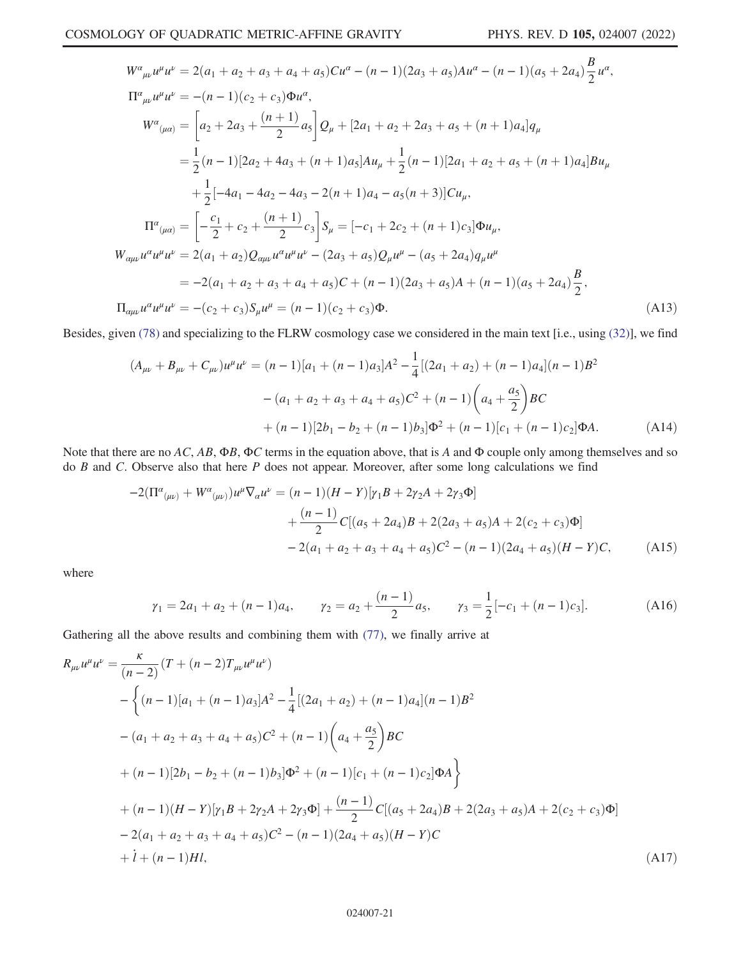$$
W^{a}_{\mu\nu}u^{\mu}u^{\nu} = 2(a_{1} + a_{2} + a_{3} + a_{4} + a_{5})Cu^{a} - (n - 1)(2a_{3} + a_{5})Au^{a} - (n - 1)(a_{5} + 2a_{4})\frac{B}{2}u^{a},
$$
  
\n
$$
\Pi^{a}_{\mu\nu}u^{\mu}u^{\nu} = -(n - 1)(c_{2} + c_{3})\Phi u^{a},
$$
  
\n
$$
W^{a}_{(\mu a)} = \left[a_{2} + 2a_{3} + \frac{(n + 1)}{2}a_{5}\right]Q_{\mu} + [2a_{1} + a_{2} + 2a_{3} + a_{5} + (n + 1)a_{4}]q_{\mu}
$$
  
\n
$$
= \frac{1}{2}(n - 1)[2a_{2} + 4a_{3} + (n + 1)a_{5}]Au_{\mu} + \frac{1}{2}(n - 1)[2a_{1} + a_{2} + a_{5} + (n + 1)a_{4}]Bu_{\mu}
$$
  
\n
$$
+ \frac{1}{2}[-4a_{1} - 4a_{2} - 4a_{3} - 2(n + 1)a_{4} - a_{5}(n + 3)]Cu_{\mu},
$$
  
\n
$$
\Pi^{a}_{(\mu a)} = \left[-\frac{c_{1}}{2} + c_{2} + \frac{(n + 1)}{2}c_{3}\right]S_{\mu} = [-c_{1} + 2c_{2} + (n + 1)c_{3}]\Phi u_{\mu},
$$
  
\n
$$
W_{\alpha\mu\nu}u^{\alpha}u^{\mu}u^{\nu} = 2(a_{1} + a_{2})Q_{\alpha\mu\nu}u^{\alpha}u^{\mu}u^{\nu} - (2a_{3} + a_{5})Q_{\mu}u^{\mu} - (a_{5} + 2a_{4})q_{\mu}u^{\mu}
$$
  
\n
$$
= -2(a_{1} + a_{2} + a_{3} + a_{4} + a_{5})C + (n - 1)(2a_{3} + a_{5})A + (n - 1)(a_{5} + 2a_{4})\frac{B}{2},
$$
  
\n
$$
\Pi_{\alpha\mu\nu}u^{\alpha}u^{\mu}u^{\nu} = -(c_{2} + c_{3})S_{\mu}u^{\mu} = (n
$$

Besides, given (78) and specializing to the FLRW cosmology case we considered in the main text [i.e., using (32)], we find

$$
(A_{\mu\nu} + B_{\mu\nu} + C_{\mu\nu})u^{\mu}u^{\nu} = (n-1)[a_1 + (n-1)a_3]A^2 - \frac{1}{4}[(2a_1 + a_2) + (n-1)a_4](n-1)B^2
$$

$$
- (a_1 + a_2 + a_3 + a_4 + a_5)C^2 + (n-1)\left(a_4 + \frac{a_5}{2}\right)BC
$$

$$
+ (n-1)[2b_1 - b_2 + (n-1)b_3]\Phi^2 + (n-1)[c_1 + (n-1)c_2]\Phi A.
$$
 (A14)

Note that there are no AC, AB,  $\Phi B$ ,  $\Phi C$  terms in the equation above, that is A and  $\Phi$  couple only among themselves and so do  $B$  and  $C$ . Observe also that here  $P$  does not appear. Moreover, after some long calculations we find

$$
-2(\Pi^{\alpha}{}_{(\mu\nu)} + W^{\alpha}{}_{(\mu\nu)})u^{\mu}\nabla_{\alpha}u^{\nu} = (n-1)(H-Y)[\gamma_{1}B + 2\gamma_{2}A + 2\gamma_{3}\Phi] + \frac{(n-1)}{2}C[(a_{5} + 2a_{4})B + 2(2a_{3} + a_{5})A + 2(c_{2} + c_{3})\Phi] - 2(a_{1} + a_{2} + a_{3} + a_{4} + a_{5})C^{2} - (n-1)(2a_{4} + a_{5})(H-Y)C,
$$
 (A15)

where

$$
\gamma_1 = 2a_1 + a_2 + (n-1)a_4,
$$
\n $\gamma_2 = a_2 + \frac{(n-1)}{2}a_5,$ \n $\gamma_3 = \frac{1}{2}[-c_1 + (n-1)c_3].$ \n(A16)

Gathering all the above results and combining them with (77), we finally arrive at

$$
R_{\mu\nu}u^{\mu}u^{\nu} = \frac{\kappa}{(n-2)}(T + (n-2)T_{\mu\nu}u^{\mu}u^{\nu})
$$
  
 
$$
- \left\{(n-1)[a_1 + (n-1)a_3]A^2 - \frac{1}{4}[(2a_1 + a_2) + (n-1)a_4](n-1)B^2
$$
  
 
$$
- (a_1 + a_2 + a_3 + a_4 + a_5)C^2 + (n-1)\left(a_4 + \frac{a_5}{2}\right)BC
$$
  
 
$$
+ (n-1)[2b_1 - b_2 + (n-1)b_3]\Phi^2 + (n-1)[c_1 + (n-1)c_2]\Phi A\right\}
$$
  
 
$$
+ (n-1)(H - Y)[\gamma_1B + 2\gamma_2A + 2\gamma_3\Phi] + \frac{(n-1)}{2}C[(a_5 + 2a_4)B + 2(2a_3 + a_5)A + 2(c_2 + c_3)\Phi]
$$
  
 
$$
- 2(a_1 + a_2 + a_3 + a_4 + a_5)C^2 - (n-1)(2a_4 + a_5)(H - Y)C
$$
  
 
$$
+ i + (n-1)HI,
$$
 (A17)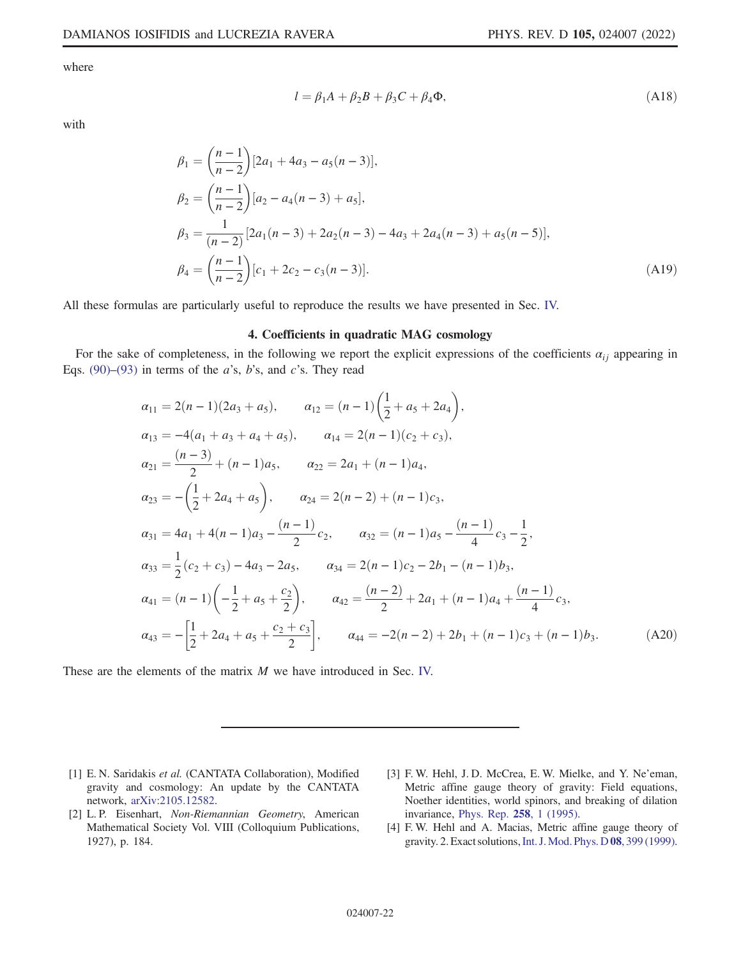where

$$
l = \beta_1 A + \beta_2 B + \beta_3 C + \beta_4 \Phi, \tag{A18}
$$

with

$$
\beta_1 = \left(\frac{n-1}{n-2}\right)[2a_1 + 4a_3 - a_5(n-3)],
$$
  
\n
$$
\beta_2 = \left(\frac{n-1}{n-2}\right)[a_2 - a_4(n-3) + a_5],
$$
  
\n
$$
\beta_3 = \frac{1}{(n-2)}[2a_1(n-3) + 2a_2(n-3) - 4a_3 + 2a_4(n-3) + a_5(n-5)],
$$
  
\n
$$
\beta_4 = \left(\frac{n-1}{n-2}\right)[c_1 + 2c_2 - c_3(n-3)].
$$
\n(A19)

All these formulas are particularly useful to reproduce the results we have presented in Sec. IV.

## 4. Coefficients in quadratic MAG cosmology

For the sake of completeness, in the following we report the explicit expressions of the coefficients  $\alpha_{ij}$  appearing in Eqs. (90)–(93) in terms of the  $a$ 's,  $b$ 's, and  $c$ 's. They read

$$
\alpha_{11} = 2(n-1)(2a_3 + a_5), \qquad \alpha_{12} = (n-1)\left(\frac{1}{2} + a_5 + 2a_4\right),
$$
  
\n
$$
\alpha_{13} = -4(a_1 + a_3 + a_4 + a_5), \qquad \alpha_{14} = 2(n-1)(c_2 + c_3),
$$
  
\n
$$
\alpha_{21} = \frac{(n-3)}{2} + (n-1)a_5, \qquad \alpha_{22} = 2a_1 + (n-1)a_4,
$$
  
\n
$$
\alpha_{23} = -\left(\frac{1}{2} + 2a_4 + a_5\right), \qquad \alpha_{24} = 2(n-2) + (n-1)c_3,
$$
  
\n
$$
\alpha_{31} = 4a_1 + 4(n-1)a_3 - \frac{(n-1)}{2}c_2, \qquad \alpha_{32} = (n-1)a_5 - \frac{(n-1)}{4}c_3 - \frac{1}{2},
$$
  
\n
$$
\alpha_{33} = \frac{1}{2}(c_2 + c_3) - 4a_3 - 2a_5, \qquad \alpha_{34} = 2(n-1)c_2 - 2b_1 - (n-1)b_3,
$$
  
\n
$$
\alpha_{41} = (n-1)\left(-\frac{1}{2} + a_5 + \frac{c_2}{2}\right), \qquad \alpha_{42} = \frac{(n-2)}{2} + 2a_1 + (n-1)a_4 + \frac{(n-1)}{4}c_3,
$$
  
\n
$$
\alpha_{43} = -\left[\frac{1}{2} + 2a_4 + a_5 + \frac{c_2 + c_3}{2}\right], \qquad \alpha_{44} = -2(n-2) + 2b_1 + (n-1)c_3 + (n-1)b_3.
$$
  
\n(A20)

These are the elements of the matrix M we have introduced in Sec. IV.

- [1] E. N. Saridakis et al. (CANTATA Collaboration), Modified gravity and cosmology: An update by the CANTATA network, [arXiv:2105.12582](https://arXiv.org/abs/2105.12582).
- [2] L. P. Eisenhart, Non-Riemannian Geometry, American Mathematical Society Vol. VIII (Colloquium Publications, 1927), p. 184.
- [3] F. W. Hehl, J. D. McCrea, E. W. Mielke, and Y. Ne'eman, Metric affine gauge theory of gravity: Field equations, Noether identities, world spinors, and breaking of dilation invariance, [Phys. Rep.](https://doi.org/10.1016/0370-1573(94)00111-F) 258, 1 (1995).
- [4] F. W. Hehl and A. Macias, Metric affine gauge theory of gravity. 2. Exact solutions,[Int. J.Mod. Phys. D](https://doi.org/10.1142/S0218271899000316) 08, 399 (1999).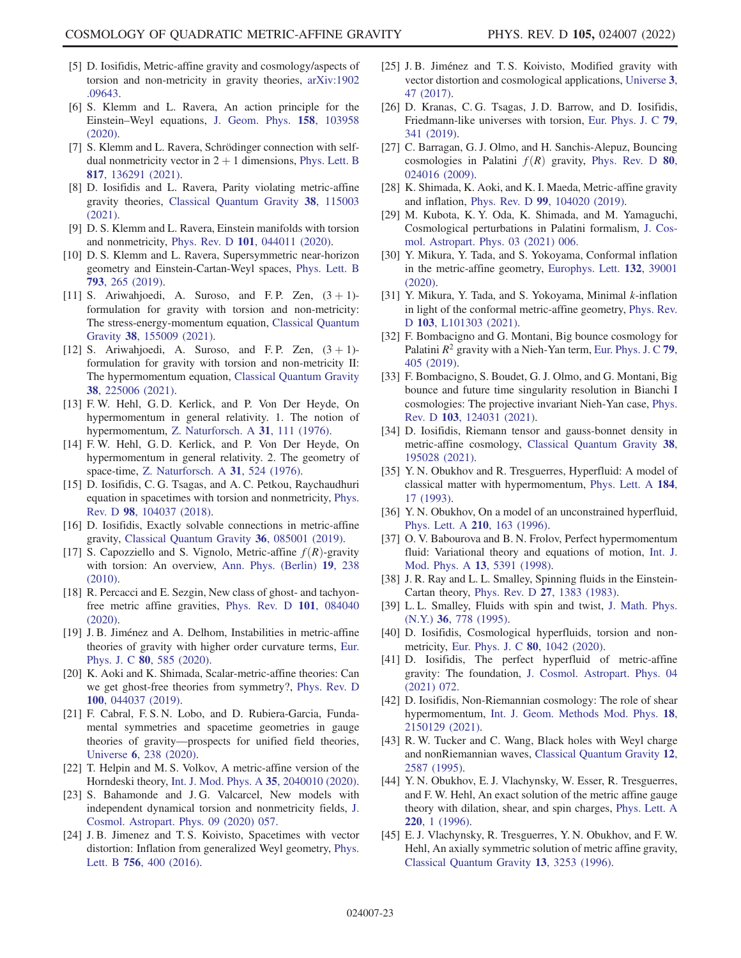- [5] D. Iosifidis, Metric-affine gravity and cosmology/aspects of torsion and non-metricity in gravity theories, [arXiv:1902](https://arXiv.org/abs/1902.09643) [.09643.](https://arXiv.org/abs/1902.09643)
- [6] S. Klemm and L. Ravera, An action principle for the Einstein–Weyl equations, [J. Geom. Phys.](https://doi.org/10.1016/j.geomphys.2020.103958) 158, 103958 [\(2020\).](https://doi.org/10.1016/j.geomphys.2020.103958)
- [7] S. Klemm and L. Ravera, Schrödinger connection with selfdual nonmetricity vector in  $2 + 1$  dimensions, [Phys. Lett. B](https://doi.org/10.1016/j.physletb.2021.136291) 817[, 136291 \(2021\).](https://doi.org/10.1016/j.physletb.2021.136291)
- [8] D. Iosifidis and L. Ravera, Parity violating metric-affine gravity theories, [Classical Quantum Gravity](https://doi.org/10.1088/1361-6382/abde1a) 38, 115003 [\(2021\).](https://doi.org/10.1088/1361-6382/abde1a)
- [9] D. S. Klemm and L. Ravera, Einstein manifolds with torsion and nonmetricity, Phys. Rev. D 101[, 044011 \(2020\)](https://doi.org/10.1103/PhysRevD.101.044011).
- [10] D. S. Klemm and L. Ravera, Supersymmetric near-horizon geometry and Einstein-Cartan-Weyl spaces, [Phys. Lett. B](https://doi.org/10.1016/j.physletb.2019.04.061) 793[, 265 \(2019\)](https://doi.org/10.1016/j.physletb.2019.04.061).
- [11] S. Ariwahjoedi, A. Suroso, and F.P. Zen,  $(3 + 1)$ formulation for gravity with torsion and non-metricity: The stress-energy-momentum equation, [Classical Quantum](https://doi.org/10.1088/1361-6382/abf27a) Gravity 38[, 155009 \(2021\).](https://doi.org/10.1088/1361-6382/abf27a)
- [12] S. Ariwahjoedi, A. Suroso, and F.P. Zen,  $(3 + 1)$ formulation for gravity with torsion and non-metricity II: The hypermomentum equation, [Classical Quantum Gravity](https://doi.org/10.1088/1361-6382/ac2c1c) 38[, 225006 \(2021\).](https://doi.org/10.1088/1361-6382/ac2c1c)
- [13] F. W. Hehl, G. D. Kerlick, and P. Von Der Heyde, On hypermomentum in general relativity. 1. The notion of hypermomentum, [Z. Naturforsch. A](https://doi.org/10.1515/zna-1976-0201) 31, 111 (1976).
- [14] F. W. Hehl, G. D. Kerlick, and P. Von Der Heyde, On hypermomentum in general relativity. 2. The geometry of space-time, [Z. Naturforsch. A](https://doi.org/10.1515/zna-1976-0602) 31, 524 (1976).
- [15] D. Iosifidis, C. G. Tsagas, and A. C. Petkou, Raychaudhuri equation in spacetimes with torsion and nonmetricity, [Phys.](https://doi.org/10.1103/PhysRevD.98.104037) Rev. D 98[, 104037 \(2018\)](https://doi.org/10.1103/PhysRevD.98.104037).
- [16] D. Iosifidis, Exactly solvable connections in metric-affine gravity, [Classical Quantum Gravity](https://doi.org/10.1088/1361-6382/ab0be2) 36, 085001 (2019).
- [17] S. Capozziello and S. Vignolo, Metric-affine  $f(R)$ -gravity with torsion: An overview, [Ann. Phys. \(Berlin\)](https://doi.org/10.1002/andp.201010420) 19, 238 [\(2010\).](https://doi.org/10.1002/andp.201010420)
- [18] R. Percacci and E. Sezgin, New class of ghost- and tachyonfree metric affine gravities, [Phys. Rev. D](https://doi.org/10.1103/PhysRevD.101.084040) 101, 084040 [\(2020\).](https://doi.org/10.1103/PhysRevD.101.084040)
- [19] J. B. Jiménez and A. Delhom, Instabilities in metric-affine theories of gravity with higher order curvature terms, [Eur.](https://doi.org/10.1140/epjc/s10052-020-8143-z) Phys. J. C 80[, 585 \(2020\).](https://doi.org/10.1140/epjc/s10052-020-8143-z)
- [20] K. Aoki and K. Shimada, Scalar-metric-affine theories: Can we get ghost-free theories from symmetry?, [Phys. Rev. D](https://doi.org/10.1103/PhysRevD.100.044037) 100[, 044037 \(2019\).](https://doi.org/10.1103/PhysRevD.100.044037)
- [21] F. Cabral, F. S. N. Lobo, and D. Rubiera-Garcia, Fundamental symmetries and spacetime geometries in gauge theories of gravity—prospects for unified field theories, Universe 6[, 238 \(2020\).](https://doi.org/10.3390/universe6120238)
- [22] T. Helpin and M. S. Volkov, A metric-affine version of the Horndeski theory, [Int. J. Mod. Phys. A](https://doi.org/10.1142/S0217751X20400102) 35, 2040010 (2020).
- [23] S. Bahamonde and J.G. Valcarcel, New models with independent dynamical torsion and nonmetricity fields, [J.](https://doi.org/10.1088/1475-7516/2020/09/057) [Cosmol. Astropart. Phys. 09 \(2020\) 057.](https://doi.org/10.1088/1475-7516/2020/09/057)
- [24] J. B. Jimenez and T. S. Koivisto, Spacetimes with vector distortion: Inflation from generalized Weyl geometry, [Phys.](https://doi.org/10.1016/j.physletb.2016.03.047) Lett. B 756[, 400 \(2016\).](https://doi.org/10.1016/j.physletb.2016.03.047)
- [25] J. B. Jiménez and T. S. Koivisto, Modified gravity with vector distortion and cosmological applications, [Universe](https://doi.org/10.3390/universe3020047) 3, [47 \(2017\).](https://doi.org/10.3390/universe3020047)
- [26] D. Kranas, C. G. Tsagas, J. D. Barrow, and D. Iosifidis, Friedmann-like universes with torsion, [Eur. Phys. J. C](https://doi.org/10.1140/epjc/s10052-019-6822-4) 79, [341 \(2019\)](https://doi.org/10.1140/epjc/s10052-019-6822-4).
- [27] C. Barragan, G. J. Olmo, and H. Sanchis-Alepuz, Bouncing cosmologies in Palatini  $f(R)$  gravity, [Phys. Rev. D](https://doi.org/10.1103/PhysRevD.80.024016) 80, [024016 \(2009\).](https://doi.org/10.1103/PhysRevD.80.024016)
- [28] K. Shimada, K. Aoki, and K. I. Maeda, Metric-affine gravity and inflation, Phys. Rev. D 99[, 104020 \(2019\).](https://doi.org/10.1103/PhysRevD.99.104020)
- [29] M. Kubota, K. Y. Oda, K. Shimada, and M. Yamaguchi, Cosmological perturbations in Palatini formalism, [J. Cos](https://doi.org/10.1088/1475-7516/2021/03/006)[mol. Astropart. Phys. 03 \(2021\) 006.](https://doi.org/10.1088/1475-7516/2021/03/006)
- [30] Y. Mikura, Y. Tada, and S. Yokoyama, Conformal inflation in the metric-affine geometry, [Europhys. Lett.](https://doi.org/10.1209/0295-5075/132/39001) 132, 39001 [\(2020\).](https://doi.org/10.1209/0295-5075/132/39001)
- [31] Y. Mikura, Y. Tada, and S. Yokoyama, Minimal k-inflation in light of the conformal metric-affine geometry, [Phys. Rev.](https://doi.org/10.1103/PhysRevD.103.L101303) D 103[, L101303 \(2021\).](https://doi.org/10.1103/PhysRevD.103.L101303)
- [32] F. Bombacigno and G. Montani, Big bounce cosmology for Palatini  $R^2$  gravity with a Nieh-Yan term, [Eur. Phys. J. C](https://doi.org/10.1140/epjc/s10052-019-6918-x) 79, [405 \(2019\)](https://doi.org/10.1140/epjc/s10052-019-6918-x).
- [33] F. Bombacigno, S. Boudet, G. J. Olmo, and G. Montani, Big bounce and future time singularity resolution in Bianchi I cosmologies: The projective invariant Nieh-Yan case, [Phys.](https://doi.org/10.1103/PhysRevD.103.124031) Rev. D 103[, 124031 \(2021\)](https://doi.org/10.1103/PhysRevD.103.124031).
- [34] D. Iosifidis, Riemann tensor and gauss-bonnet density in metric-affine cosmology, [Classical Quantum Gravity](https://doi.org/10.1088/1361-6382/ac213a) 38, [195028 \(2021\).](https://doi.org/10.1088/1361-6382/ac213a)
- [35] Y. N. Obukhov and R. Tresguerres, Hyperfluid: A model of classical matter with hypermomentum, [Phys. Lett. A](https://doi.org/10.1016/0375-9601(93)90339-2) 184, [17 \(1993\).](https://doi.org/10.1016/0375-9601(93)90339-2)
- [36] Y. N. Obukhov, On a model of an unconstrained hyperfluid, [Phys. Lett. A](https://doi.org/10.1016/S0375-9601(96)80004-1) 210, 163 (1996).
- [37] O. V. Babourova and B. N. Frolov, Perfect hypermomentum fluid: Variational theory and equations of motion, [Int. J.](https://doi.org/10.1142/S0217751X98002444) [Mod. Phys. A](https://doi.org/10.1142/S0217751X98002444) 13, 5391 (1998).
- [38] J. R. Ray and L. L. Smalley, Spinning fluids in the Einstein-Cartan theory, Phys. Rev. D 27[, 1383 \(1983\)](https://doi.org/10.1103/PhysRevD.27.1383).
- [39] L. L. Smalley, Fluids with spin and twist, [J. Math. Phys.](https://doi.org/10.1063/1.531341) (N.Y.) 36[, 778 \(1995\)](https://doi.org/10.1063/1.531341).
- [40] D. Iosifidis, Cosmological hyperfluids, torsion and nonmetricity, [Eur. Phys. J. C](https://doi.org/10.1140/epjc/s10052-020-08634-z) 80, 1042 (2020).
- [41] D. Iosifidis, The perfect hyperfluid of metric-affine gravity: The foundation, [J. Cosmol. Astropart. Phys. 04](https://doi.org/10.1088/1475-7516/2021/04/072) [\(2021\) 072.](https://doi.org/10.1088/1475-7516/2021/04/072)
- [42] D. Iosifidis, Non-Riemannian cosmology: The role of shear hypermomentum, [Int. J. Geom. Methods Mod. Phys.](https://doi.org/10.1142/S0219887821501292) 18, [2150129 \(2021\).](https://doi.org/10.1142/S0219887821501292)
- [43] R. W. Tucker and C. Wang, Black holes with Weyl charge and nonRiemannian waves, [Classical Quantum Gravity](https://doi.org/10.1088/0264-9381/12/10/016) 12, [2587 \(1995\)](https://doi.org/10.1088/0264-9381/12/10/016).
- [44] Y. N. Obukhov, E. J. Vlachynsky, W. Esser, R. Tresguerres, and F. W. Hehl, An exact solution of the metric affine gauge theory with dilation, shear, and spin charges, [Phys. Lett. A](https://doi.org/10.1016/0375-9601(96)00531-2) 220[, 1 \(1996\).](https://doi.org/10.1016/0375-9601(96)00531-2)
- [45] E. J. Vlachynsky, R. Tresguerres, Y. N. Obukhov, and F. W. Hehl, An axially symmetric solution of metric affine gravity, [Classical Quantum Gravity](https://doi.org/10.1088/0264-9381/13/12/016) 13, 3253 (1996).